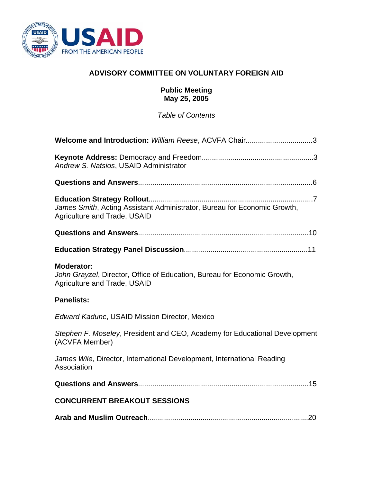

# **ADVISORY COMMITTEE ON VOLUNTARY FOREIGN AID**

### **Public Meeting May 25, 2005**

*Table of Contents* 

| Welcome and Introduction: William Reese, ACVFA Chair3                                                                         |
|-------------------------------------------------------------------------------------------------------------------------------|
| Andrew S. Natsios, USAID Administrator                                                                                        |
|                                                                                                                               |
| James Smith, Acting Assistant Administrator, Bureau for Economic Growth,<br><b>Agriculture and Trade, USAID</b>               |
|                                                                                                                               |
|                                                                                                                               |
| <b>Moderator:</b><br>John Grayzel, Director, Office of Education, Bureau for Economic Growth,<br>Agriculture and Trade, USAID |
| <b>Panelists:</b>                                                                                                             |
| <b>Edward Kadunc, USAID Mission Director, Mexico</b>                                                                          |
| Stephen F. Moseley, President and CEO, Academy for Educational Development<br>(ACVFA Member)                                  |
| James Wile, Director, International Development, International Reading<br>Association                                         |
|                                                                                                                               |
| <b>CONCURRENT BREAKOUT SESSIONS</b>                                                                                           |
|                                                                                                                               |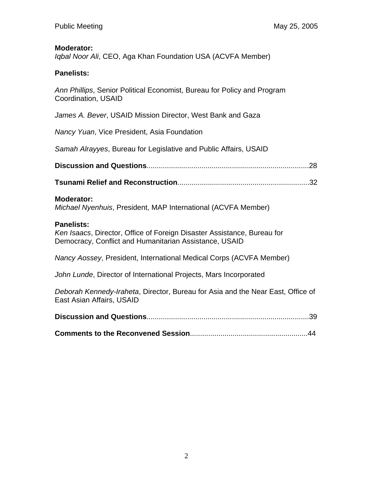### **Moderator:**

*Iqbal Noor Ali*, CEO, Aga Khan Foundation USA (ACVFA Member)

# **Panelists:**

*Ann Phillips*, Senior Political Economist, Bureau for Policy and Program Coordination, USAID

*James A. Bever*, USAID Mission Director, West Bank and Gaza

*Nancy Yuan*, Vice President, Asia Foundation

*Samah Alrayyes*, Bureau for Legislative and Public Affairs, USAID

**Discussion and Questions**................................................................................28

**Tsunami Relief and Reconstruction**.................................................................32

### **Moderator:**

*Michael Nyenhuis*, President, MAP International (ACVFA Member)

### **Panelists:**

*Ken Isaacs*, Director, Office of Foreign Disaster Assistance, Bureau for Democracy, Conflict and Humanitarian Assistance, USAID

*Nancy Aossey*, President, International Medical Corps (ACVFA Member)

*John Lunde*, Director of International Projects, Mars Incorporated

*Deborah Kennedy-Iraheta*, Director, Bureau for Asia and the Near East, Office of East Asian Affairs, USAID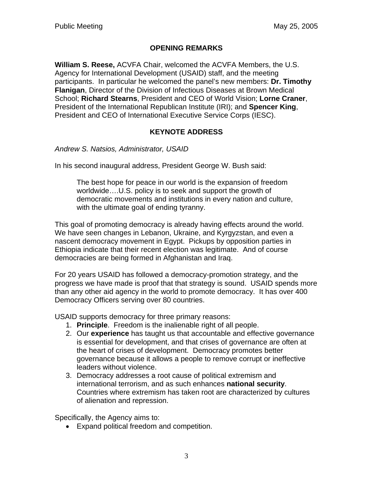# **OPENING REMARKS**

**William S. Reese,** ACVFA Chair, welcomed the ACVFA Members, the U.S. Agency for International Development (USAID) staff, and the meeting participants. In particular he welcomed the panel's new members: **Dr. Timothy Flanigan**, Director of the Division of Infectious Diseases at Brown Medical School; **Richard Stearns**, President and CEO of World Vision; **Lorne Craner**, President of the International Republican Institute (IRI); and **Spencer King**, President and CEO of International Executive Service Corps (IESC).

# **KEYNOTE ADDRESS**

*Andrew S. Natsios, Administrator, USAID* 

In his second inaugural address, President George W. Bush said:

The best hope for peace in our world is the expansion of freedom worldwide….U.S. policy is to seek and support the growth of democratic movements and institutions in every nation and culture, with the ultimate goal of ending tyranny.

This goal of promoting democracy is already having effects around the world. We have seen changes in Lebanon, Ukraine, and Kyrgyzstan, and even a nascent democracy movement in Egypt. Pickups by opposition parties in Ethiopia indicate that their recent election was legitimate. And of course democracies are being formed in Afghanistan and Iraq.

For 20 years USAID has followed a democracy-promotion strategy, and the progress we have made is proof that that strategy is sound. USAID spends more than any other aid agency in the world to promote democracy. It has over 400 Democracy Officers serving over 80 countries.

USAID supports democracy for three primary reasons:

- 1. **Principle**. Freedom is the inalienable right of all people.
- 2. Our **experience** has taught us that accountable and effective governance is essential for development, and that crises of governance are often at the heart of crises of development. Democracy promotes better governance because it allows a people to remove corrupt or ineffective leaders without violence.
- 3. Democracy addresses a root cause of political extremism and international terrorism, and as such enhances **national security**. Countries where extremism has taken root are characterized by cultures of alienation and repression.

Specifically, the Agency aims to:

• Expand political freedom and competition.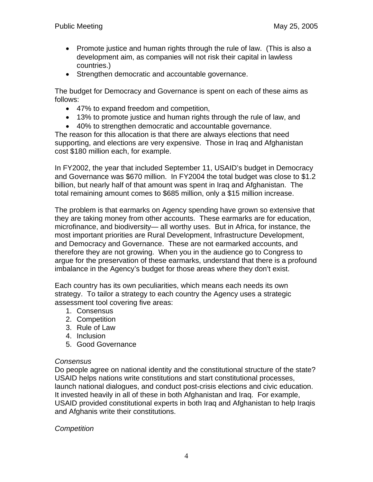- Promote justice and human rights through the rule of law. (This is also a development aim, as companies will not risk their capital in lawless countries.)
- Strengthen democratic and accountable governance.

The budget for Democracy and Governance is spent on each of these aims as follows:

- 47% to expand freedom and competition,
- 13% to promote justice and human rights through the rule of law, and
- 40% to strengthen democratic and accountable governance.

The reason for this allocation is that there are always elections that need supporting, and elections are very expensive. Those in Iraq and Afghanistan cost \$180 million each, for example.

In FY2002, the year that included September 11, USAID's budget in Democracy and Governance was \$670 million. In FY2004 the total budget was close to \$1.2 billion, but nearly half of that amount was spent in Iraq and Afghanistan. The total remaining amount comes to \$685 million, only a \$15 million increase.

The problem is that earmarks on Agency spending have grown so extensive that they are taking money from other accounts. These earmarks are for education, microfinance, and biodiversity— all worthy uses. But in Africa, for instance, the most important priorities are Rural Development, Infrastructure Development, and Democracy and Governance. These are not earmarked accounts, and therefore they are not growing. When you in the audience go to Congress to argue for the preservation of these earmarks, understand that there is a profound imbalance in the Agency's budget for those areas where they don't exist.

Each country has its own peculiarities, which means each needs its own strategy. To tailor a strategy to each country the Agency uses a strategic assessment tool covering five areas:

- 1. Consensus
- 2. Competition
- 3. Rule of Law
- 4. Inclusion
- 5. Good Governance

### *Consensus*

Do people agree on national identity and the constitutional structure of the state? USAID helps nations write constitutions and start constitutional processes, launch national dialogues, and conduct post-crisis elections and civic education. It invested heavily in all of these in both Afghanistan and Iraq. For example, USAID provided constitutional experts in both Iraq and Afghanistan to help Iraqis and Afghanis write their constitutions.

## *Competition*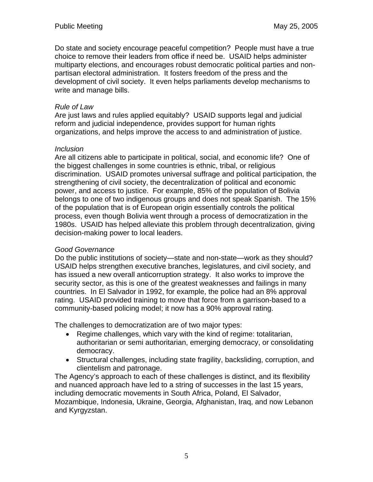Do state and society encourage peaceful competition? People must have a true choice to remove their leaders from office if need be. USAID helps administer multiparty elections, and encourages robust democratic political parties and nonpartisan electoral administration. It fosters freedom of the press and the development of civil society. It even helps parliaments develop mechanisms to write and manage bills.

### *Rule of Law*

Are just laws and rules applied equitably? USAID supports legal and judicial reform and judicial independence, provides support for human rights organizations, and helps improve the access to and administration of justice.

### *Inclusion*

Are all citizens able to participate in political, social, and economic life? One of the biggest challenges in some countries is ethnic, tribal, or religious discrimination. USAID promotes universal suffrage and political participation, the strengthening of civil society, the decentralization of political and economic power, and access to justice. For example, 85% of the population of Bolivia belongs to one of two indigenous groups and does not speak Spanish. The 15% of the population that is of European origin essentially controls the political process, even though Bolivia went through a process of democratization in the 1980s. USAID has helped alleviate this problem through decentralization, giving decision-making power to local leaders.

## *Good Governance*

Do the public institutions of society—state and non-state—work as they should? USAID helps strengthen executive branches, legislatures, and civil society, and has issued a new overall anticorruption strategy. It also works to improve the security sector, as this is one of the greatest weaknesses and failings in many countries. In El Salvador in 1992, for example, the police had an 8% approval rating. USAID provided training to move that force from a garrison-based to a community-based policing model; it now has a 90% approval rating.

The challenges to democratization are of two major types:

- Regime challenges, which vary with the kind of regime: totalitarian, authoritarian or semi authoritarian, emerging democracy, or consolidating democracy.
- Structural challenges, including state fragility, backsliding, corruption, and clientelism and patronage.

The Agency's approach to each of these challenges is distinct, and its flexibility and nuanced approach have led to a string of successes in the last 15 years, including democratic movements in South Africa, Poland, El Salvador, Mozambique, Indonesia, Ukraine, Georgia, Afghanistan, Iraq, and now Lebanon and Kyrgyzstan.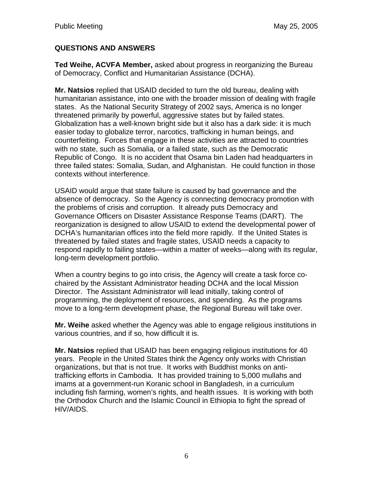# **QUESTIONS AND ANSWERS**

**Ted Weihe, ACVFA Member,** asked about progress in reorganizing the Bureau of Democracy, Conflict and Humanitarian Assistance (DCHA).

**Mr. Natsios** replied that USAID decided to turn the old bureau, dealing with humanitarian assistance, into one with the broader mission of dealing with fragile states. As the National Security Strategy of 2002 says, America is no longer threatened primarily by powerful, aggressive states but by failed states. Globalization has a well-known bright side but it also has a dark side: it is much easier today to globalize terror, narcotics, trafficking in human beings, and counterfeiting. Forces that engage in these activities are attracted to countries with no state, such as Somalia, or a failed state, such as the Democratic Republic of Congo. It is no accident that Osama bin Laden had headquarters in three failed states: Somalia, Sudan, and Afghanistan. He could function in those contexts without interference.

USAID would argue that state failure is caused by bad governance and the absence of democracy. So the Agency is connecting democracy promotion with the problems of crisis and corruption. It already puts Democracy and Governance Officers on Disaster Assistance Response Teams (DART). The reorganization is designed to allow USAID to extend the developmental power of DCHA's humanitarian offices into the field more rapidly. If the United States is threatened by failed states and fragile states, USAID needs a capacity to respond rapidly to failing states—within a matter of weeks—along with its regular, long-term development portfolio.

When a country begins to go into crisis, the Agency will create a task force cochaired by the Assistant Administrator heading DCHA and the local Mission Director. The Assistant Administrator will lead initially, taking control of programming, the deployment of resources, and spending. As the programs move to a long-term development phase, the Regional Bureau will take over.

**Mr. Weihe** asked whether the Agency was able to engage religious institutions in various countries, and if so, how difficult it is.

**Mr. Natsios** replied that USAID has been engaging religious institutions for 40 years. People in the United States think the Agency only works with Christian organizations, but that is not true. It works with Buddhist monks on antitrafficking efforts in Cambodia. It has provided training to 5,000 mullahs and imams at a government-run Koranic school in Bangladesh, in a curriculum including fish farming, women's rights, and health issues. It is working with both the Orthodox Church and the Islamic Council in Ethiopia to fight the spread of HIV/AIDS.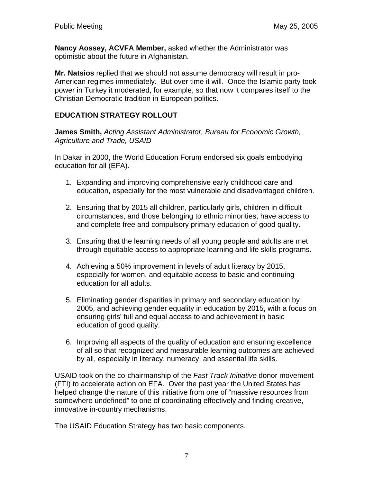**Nancy Aossey, ACVFA Member,** asked whether the Administrator was optimistic about the future in Afghanistan.

**Mr. Natsios** replied that we should not assume democracy will result in pro-American regimes immediately. But over time it will. Once the Islamic party took power in Turkey it moderated, for example, so that now it compares itself to the Christian Democratic tradition in European politics.

# **EDUCATION STRATEGY ROLLOUT**

**James Smith,** *Acting Assistant Administrator, Bureau for Economic Growth, Agriculture and Trade, USAID* 

In Dakar in 2000, the World Education Forum endorsed six goals embodying education for all (EFA).

- 1. Expanding and improving comprehensive early childhood care and education, especially for the most vulnerable and disadvantaged children.
- 2. Ensuring that by 2015 all children, particularly girls, children in difficult circumstances, and those belonging to ethnic minorities, have access to and complete free and compulsory primary education of good quality.
- 3. Ensuring that the learning needs of all young people and adults are met through equitable access to appropriate learning and life skills programs.
- 4. Achieving a 50% improvement in levels of adult literacy by 2015, especially for women, and equitable access to basic and continuing education for all adults.
- 5. Eliminating gender disparities in primary and secondary education by 2005, and achieving gender equality in education by 2015, with a focus on ensuring girls' full and equal access to and achievement in basic education of good quality.
- 6. Improving all aspects of the quality of education and ensuring excellence of all so that recognized and measurable learning outcomes are achieved by all, especially in literacy, numeracy, and essential life skills.

USAID took on the co-chairmanship of the *Fast Track Initiative* donor movement (FTI) to accelerate action on EFA. Over the past year the United States has helped change the nature of this initiative from one of "massive resources from somewhere undefined" to one of coordinating effectively and finding creative, innovative in-country mechanisms.

The USAID Education Strategy has two basic components.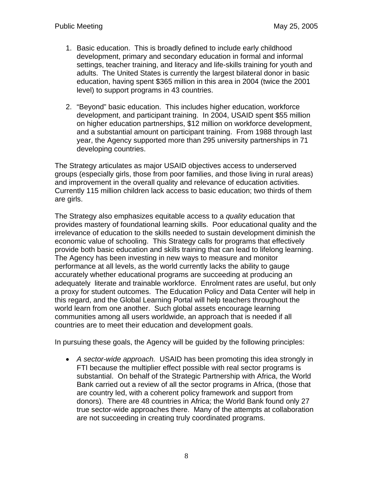- 1. Basic education. This is broadly defined to include early childhood development, primary and secondary education in formal and informal settings, teacher training, and literacy and life-skills training for youth and adults. The United States is currently the largest bilateral donor in basic education, having spent \$365 million in this area in 2004 (twice the 2001 level) to support programs in 43 countries.
- 2. "Beyond" basic education. This includes higher education, workforce development, and participant training. In 2004, USAID spent \$55 million on higher education partnerships, \$12 million on workforce development, and a substantial amount on participant training. From 1988 through last year, the Agency supported more than 295 university partnerships in 71 developing countries.

The Strategy articulates as major USAID objectives access to underserved groups (especially girls, those from poor families, and those living in rural areas) and improvement in the overall quality and relevance of education activities. Currently 115 million children lack access to basic education; two thirds of them are girls.

The Strategy also emphasizes equitable access to a *quality* education that provides mastery of foundational learning skills. Poor educational quality and the irrelevance of education to the skills needed to sustain development diminish the economic value of schooling. This Strategy calls for programs that effectively provide both basic education and skills training that can lead to lifelong learning. The Agency has been investing in new ways to measure and monitor performance at all levels, as the world currently lacks the ability to gauge accurately whether educational programs are succeeding at producing an adequately literate and trainable workforce. Enrolment rates are useful, but only a proxy for student outcomes. The Education Policy and Data Center will help in this regard, and the Global Learning Portal will help teachers throughout the world learn from one another. Such global assets encourage learning communities among all users worldwide, an approach that is needed if all countries are to meet their education and development goals.

In pursuing these goals, the Agency will be guided by the following principles:

• *A sector-wide approach.* USAID has been promoting this idea strongly in FTI because the multiplier effect possible with real sector programs is substantial. On behalf of the Strategic Partnership with Africa, the World Bank carried out a review of all the sector programs in Africa, (those that are country led, with a coherent policy framework and support from donors). There are 48 countries in Africa; the World Bank found only 27 true sector-wide approaches there. Many of the attempts at collaboration are not succeeding in creating truly coordinated programs.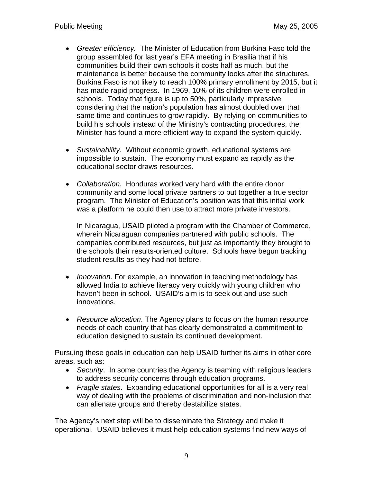- *Greater efficiency.* The Minister of Education from Burkina Faso told the group assembled for last year's EFA meeting in Brasilia that if his communities build their own schools it costs half as much, but the maintenance is better because the community looks after the structures. Burkina Faso is not likely to reach 100% primary enrollment by 2015, but it has made rapid progress. In 1969, 10% of its children were enrolled in schools. Today that figure is up to 50%, particularly impressive considering that the nation's population has almost doubled over that same time and continues to grow rapidly. By relying on communities to build his schools instead of the Ministry's contracting procedures, the Minister has found a more efficient way to expand the system quickly.
- *Sustainability.* Without economic growth, educational systems are impossible to sustain. The economy must expand as rapidly as the educational sector draws resources.
- *Collaboration.* Honduras worked very hard with the entire donor community and some local private partners to put together a true sector program. The Minister of Education's position was that this initial work was a platform he could then use to attract more private investors.

In Nicaragua, USAID piloted a program with the Chamber of Commerce, wherein Nicaraguan companies partnered with public schools. The companies contributed resources, but just as importantly they brought to the schools their results-oriented culture. Schools have begun tracking student results as they had not before.

- *Innovation*. For example, an innovation in teaching methodology has allowed India to achieve literacy very quickly with young children who haven't been in school. USAID's aim is to seek out and use such innovations.
- *Resource allocation*. The Agency plans to focus on the human resource needs of each country that has clearly demonstrated a commitment to education designed to sustain its continued development.

Pursuing these goals in education can help USAID further its aims in other core areas, such as:

- *Security*. In some countries the Agency is teaming with religious leaders to address security concerns through education programs.
- *Fragile states*. Expanding educational opportunities for all is a very real way of dealing with the problems of discrimination and non-inclusion that can alienate groups and thereby destabilize states.

The Agency's next step will be to disseminate the Strategy and make it operational. USAID believes it must help education systems find new ways of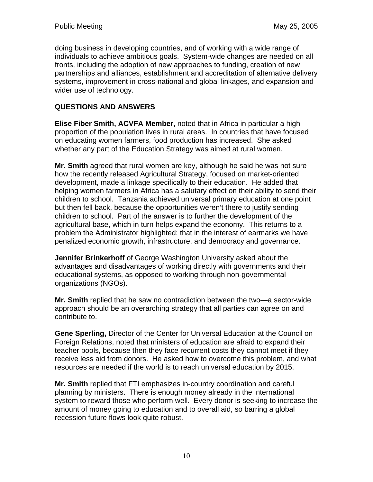doing business in developing countries, and of working with a wide range of individuals to achieve ambitious goals. System-wide changes are needed on all fronts, including the adoption of new approaches to funding, creation of new partnerships and alliances, establishment and accreditation of alternative delivery systems, improvement in cross-national and global linkages, and expansion and wider use of technology.

# **QUESTIONS AND ANSWERS**

**Elise Fiber Smith, ACVFA Member,** noted that in Africa in particular a high proportion of the population lives in rural areas. In countries that have focused on educating women farmers, food production has increased. She asked whether any part of the Education Strategy was aimed at rural women.

**Mr. Smith** agreed that rural women are key, although he said he was not sure how the recently released Agricultural Strategy, focused on market-oriented development, made a linkage specifically to their education. He added that helping women farmers in Africa has a salutary effect on their ability to send their children to school. Tanzania achieved universal primary education at one point but then fell back, because the opportunities weren't there to justify sending children to school. Part of the answer is to further the development of the agricultural base, which in turn helps expand the economy. This returns to a problem the Administrator highlighted: that in the interest of earmarks we have penalized economic growth, infrastructure, and democracy and governance.

**Jennifer Brinkerhoff** of George Washington University asked about the advantages and disadvantages of working directly with governments and their educational systems, as opposed to working through non-governmental organizations (NGOs).

**Mr. Smith** replied that he saw no contradiction between the two—a sector-wide approach should be an overarching strategy that all parties can agree on and contribute to.

**Gene Sperling,** Director of the Center for Universal Education at the Council on Foreign Relations, noted that ministers of education are afraid to expand their teacher pools, because then they face recurrent costs they cannot meet if they receive less aid from donors. He asked how to overcome this problem, and what resources are needed if the world is to reach universal education by 2015.

**Mr. Smith** replied that FTI emphasizes in-country coordination and careful planning by ministers. There is enough money already in the international system to reward those who perform well. Every donor is seeking to increase the amount of money going to education and to overall aid, so barring a global recession future flows look quite robust.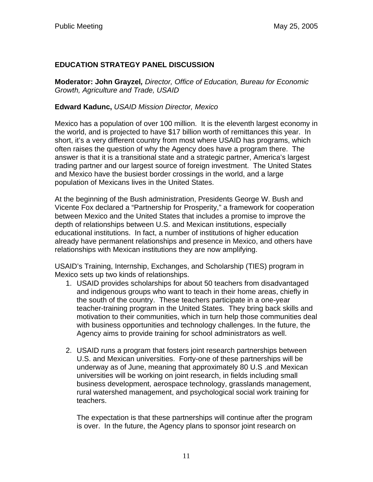# **EDUCATION STRATEGY PANEL DISCUSSION**

**Moderator: John Grayzel***, Director, Office of Education, Bureau for Economic Growth, Agriculture and Trade, USAID* 

## **Edward Kadunc,** *USAID Mission Director, Mexico*

Mexico has a population of over 100 million. It is the eleventh largest economy in the world, and is projected to have \$17 billion worth of remittances this year. In short, it's a very different country from most where USAID has programs, which often raises the question of why the Agency does have a program there. The answer is that it is a transitional state and a strategic partner, America's largest trading partner and our largest source of foreign investment. The United States and Mexico have the busiest border crossings in the world, and a large population of Mexicans lives in the United States.

At the beginning of the Bush administration, Presidents George W. Bush and Vicente Fox declared a "Partnership for Prosperity," a framework for cooperation between Mexico and the United States that includes a promise to improve the depth of relationships between U.S. and Mexican institutions, especially educational institutions. In fact, a number of institutions of higher education already have permanent relationships and presence in Mexico, and others have relationships with Mexican institutions they are now amplifying.

USAID's Training, Internship, Exchanges, and Scholarship (TIES) program in Mexico sets up two kinds of relationships.

- 1. USAID provides scholarships for about 50 teachers from disadvantaged and indigenous groups who want to teach in their home areas, chiefly in the south of the country. These teachers participate in a one-year teacher-training program in the United States. They bring back skills and motivation to their communities, which in turn help those communities deal with business opportunities and technology challenges. In the future, the Agency aims to provide training for school administrators as well.
- 2. USAID runs a program that fosters joint research partnerships between U.S. and Mexican universities. Forty-one of these partnerships will be underway as of June, meaning that approximately 80 U.S .and Mexican universities will be working on joint research, in fields including small business development, aerospace technology, grasslands management, rural watershed management, and psychological social work training for teachers.

The expectation is that these partnerships will continue after the program is over. In the future, the Agency plans to sponsor joint research on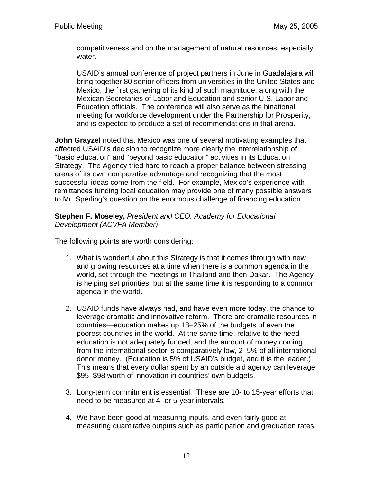competitiveness and on the management of natural resources, especially water.

USAID's annual conference of project partners in June in Guadalajara will bring together 80 senior officers from universities in the United States and Mexico, the first gathering of its kind of such magnitude, along with the Mexican Secretaries of Labor and Education and senior U.S. Labor and Education officials. The conference will also serve as the binational meeting for workforce development under the Partnership for Prosperity, and is expected to produce a set of recommendations in that arena.

**John Grayzel** noted that Mexico was one of several motivating examples that affected USAID's decision to recognize more clearly the interrelationship of "basic education" and "beyond basic education" activities in its Education Strategy. The Agency tried hard to reach a proper balance between stressing areas of its own comparative advantage and recognizing that the most successful ideas come from the field. For example, Mexico's experience with remittances funding local education may provide one of many possible answers to Mr. Sperling's question on the enormous challenge of financing education.

### **Stephen F. Moseley,** *President and CEO, Academy for Educational Development (ACVFA Member)*

The following points are worth considering:

- 1. What is wonderful about this Strategy is that it comes through with new and growing resources at a time when there is a common agenda in the world, set through the meetings in Thailand and then Dakar. The Agency is helping set priorities, but at the same time it is responding to a common agenda in the world.
- 2. USAID funds have always had, and have even more today, the chance to leverage dramatic and innovative reform. There are dramatic resources in countries—education makes up 18–25% of the budgets of even the poorest countries in the world. At the same time, relative to the need education is not adequately funded, and the amount of money coming from the international sector is comparatively low, 2–5% of all international donor money. (Education is 5% of USAID's budget, and it is the leader.) This means that every dollar spent by an outside aid agency can leverage \$95–\$98 worth of innovation in countries' own budgets.
- 3. Long-term commitment is essential. These are 10- to 15-year efforts that need to be measured at 4- or 5-year intervals.
- 4. We have been good at measuring inputs, and even fairly good at measuring quantitative outputs such as participation and graduation rates.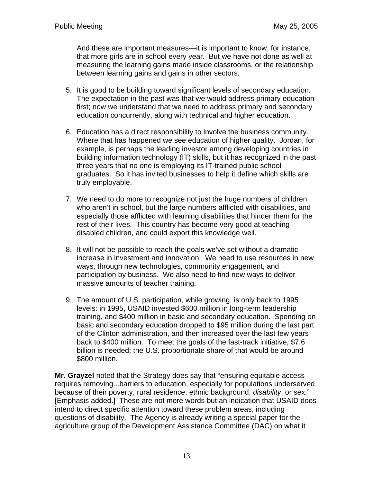And these are important measures—it is important to know, for instance, that more girls are in school every year. But we have not done as well at measuring the learning gains made inside classrooms, or the relationship between learning gains and gains in other sectors.

- 5. It is good to be building toward significant levels of secondary education. The expectation in the past was that we would address primary education first; now we understand that we need to address primary and secondary education concurrently, along with technical and higher education.
- 6. Education has a direct responsibility to involve the business community. Where that has happened we see education of higher quality. Jordan, for example, is perhaps the leading investor among developing countries in building information technology (IT) skills, but it has recognized in the past three years that no one is employing its IT-trained public school graduates. So it has invited businesses to help it define which skills are truly employable.
- 7. We need to do more to recognize not just the huge numbers of children who aren't in school, but the large numbers afflicted with disabilities, and especially those afflicted with learning disabilities that hinder them for the rest of their lives. This country has become very good at teaching disabled children, and could export this knowledge well.
- 8. It will not be possible to reach the goals we've set without a dramatic increase in investment and innovation. We need to use resources in new ways, through new technologies, community engagement, and participation by business. We also need to find new ways to deliver massive amounts of teacher training.
- 9. The amount of U.S. participation, while growing, is only back to 1995 levels: in 1995, USAID invested \$600 million in long-term leadership training, and \$400 million in basic and secondary education. Spending on basic and secondary education dropped to \$95 million during the last part of the Clinton administration, and then increased over the last few years back to \$400 million. To meet the goals of the fast-track initiative, \$7.6 billion is needed; the U.S. proportionate share of that would be around \$800 million.

**Mr. Grayzel** noted that the Strategy does say that "ensuring equitable access requires removing...barriers to education, especially for populations underserved because of their poverty, rural residence, ethnic background, *disability*, or sex." [Emphasis added.] These are not mere words but an indication that USAID does intend to direct specific attention toward these problem areas, including questions of disability. The Agency is already writing a special paper for the agriculture group of the Development Assistance Committee (DAC) on what it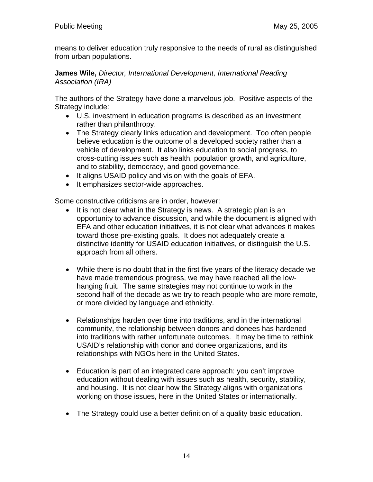means to deliver education truly responsive to the needs of rural as distinguished from urban populations.

### **James Wile,** *Director, International Development, International Reading Association (IRA)*

The authors of the Strategy have done a marvelous job. Positive aspects of the Strategy include:

- U.S. investment in education programs is described as an investment rather than philanthropy.
- The Strategy clearly links education and development. Too often people believe education is the outcome of a developed society rather than a vehicle of development. It also links education to social progress, to cross-cutting issues such as health, population growth, and agriculture, and to stability, democracy, and good governance.
- It aligns USAID policy and vision with the goals of EFA.
- It emphasizes sector-wide approaches.

Some constructive criticisms are in order, however:

- It is not clear what in the Strategy is news. A strategic plan is an opportunity to advance discussion, and while the document is aligned with EFA and other education initiatives, it is not clear what advances it makes toward those pre-existing goals. It does not adequately create a distinctive identity for USAID education initiatives, or distinguish the U.S. approach from all others.
- While there is no doubt that in the first five years of the literacy decade we have made tremendous progress, we may have reached all the lowhanging fruit. The same strategies may not continue to work in the second half of the decade as we try to reach people who are more remote, or more divided by language and ethnicity.
- Relationships harden over time into traditions, and in the international community, the relationship between donors and donees has hardened into traditions with rather unfortunate outcomes. It may be time to rethink USAID's relationship with donor and donee organizations, and its relationships with NGOs here in the United States.
- Education is part of an integrated care approach: you can't improve education without dealing with issues such as health, security, stability, and housing. It is not clear how the Strategy aligns with organizations working on those issues, here in the United States or internationally.
- The Strategy could use a better definition of a quality basic education.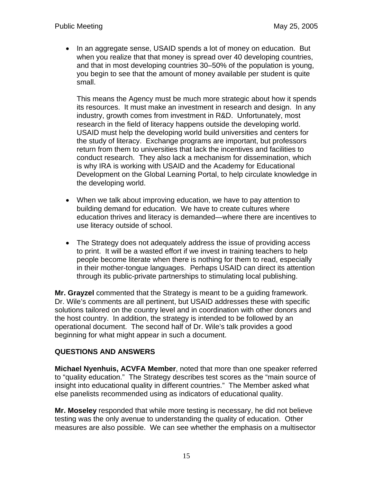• In an aggregate sense, USAID spends a lot of money on education. But when you realize that that money is spread over 40 developing countries, and that in most developing countries 30–50% of the population is young, you begin to see that the amount of money available per student is quite small.

This means the Agency must be much more strategic about how it spends its resources. It must make an investment in research and design. In any industry, growth comes from investment in R&D. Unfortunately, most research in the field of literacy happens outside the developing world. USAID must help the developing world build universities and centers for the study of literacy. Exchange programs are important, but professors return from them to universities that lack the incentives and facilities to conduct research. They also lack a mechanism for dissemination, which is why IRA is working with USAID and the Academy for Educational Development on the Global Learning Portal, to help circulate knowledge in the developing world.

- When we talk about improving education, we have to pay attention to building demand for education. We have to create cultures where education thrives and literacy is demanded—where there are incentives to use literacy outside of school.
- The Strategy does not adequately address the issue of providing access to print. It will be a wasted effort if we invest in training teachers to help people become literate when there is nothing for them to read, especially in their mother-tongue languages. Perhaps USAID can direct its attention through its public-private partnerships to stimulating local publishing.

**Mr. Grayzel** commented that the Strategy is meant to be a guiding framework. Dr. Wile's comments are all pertinent, but USAID addresses these with specific solutions tailored on the country level and in coordination with other donors and the host country. In addition, the strategy is intended to be followed by an operational document. The second half of Dr. Wile's talk provides a good beginning for what might appear in such a document.

## **QUESTIONS AND ANSWERS**

**Michael Nyenhuis, ACVFA Member**, noted that more than one speaker referred to "quality education." The Strategy describes test scores as the "main source of insight into educational quality in different countries." The Member asked what else panelists recommended using as indicators of educational quality.

**Mr. Moseley** responded that while more testing is necessary, he did not believe testing was the only avenue to understanding the quality of education. Other measures are also possible. We can see whether the emphasis on a multisector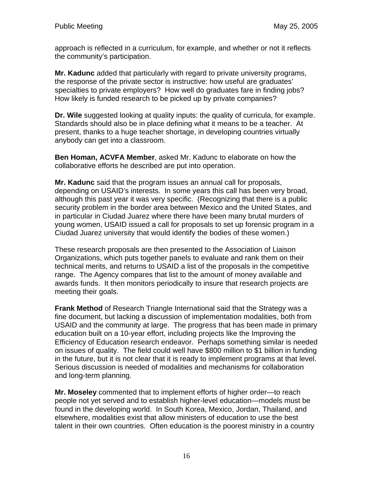approach is reflected in a curriculum, for example, and whether or not it reflects the community's participation.

**Mr. Kadunc** added that particularly with regard to private university programs, the response of the private sector is instructive: how useful are graduates' specialties to private employers? How well do graduates fare in finding jobs? How likely is funded research to be picked up by private companies?

**Dr. Wile** suggested looking at quality inputs: the quality of curricula, for example. Standards should also be in place defining what it means to be a teacher. At present, thanks to a huge teacher shortage, in developing countries virtually anybody can get into a classroom.

**Ben Homan, ACVFA Member**, asked Mr. Kadunc to elaborate on how the collaborative efforts he described are put into operation.

**Mr. Kadunc** said that the program issues an annual call for proposals, depending on USAID's interests. In some years this call has been very broad, although this past year it was very specific. (Recognizing that there is a public security problem in the border area between Mexico and the United States, and in particular in Ciudad Juarez where there have been many brutal murders of young women, USAID issued a call for proposals to set up forensic program in a Ciudad Juarez university that would identify the bodies of these women.)

These research proposals are then presented to the Association of Liaison Organizations, which puts together panels to evaluate and rank them on their technical merits, and returns to USAID a list of the proposals in the competitive range. The Agency compares that list to the amount of money available and awards funds. It then monitors periodically to insure that research projects are meeting their goals.

**Frank Method** of Research Triangle International said that the Strategy was a fine document, but lacking a discussion of implementation modalities, both from USAID and the community at large. The progress that has been made in primary education built on a 10-year effort, including projects like the Improving the Efficiency of Education research endeavor. Perhaps something similar is needed on issues of quality. The field could well have \$800 million to \$1 billion in funding in the future, but it is not clear that it is ready to implement programs at that level. Serious discussion is needed of modalities and mechanisms for collaboration and long-term planning.

**Mr. Moseley** commented that to implement efforts of higher order—to reach people not yet served and to establish higher-level education—models must be found in the developing world. In South Korea, Mexico, Jordan, Thailand, and elsewhere, modalities exist that allow ministers of education to use the best talent in their own countries. Often education is the poorest ministry in a country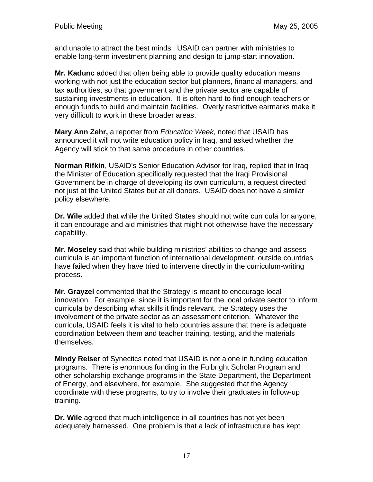and unable to attract the best minds. USAID can partner with ministries to enable long-term investment planning and design to jump-start innovation.

**Mr. Kadunc** added that often being able to provide quality education means working with not just the education sector but planners, financial managers, and tax authorities, so that government and the private sector are capable of sustaining investments in education. It is often hard to find enough teachers or enough funds to build and maintain facilities. Overly restrictive earmarks make it very difficult to work in these broader areas.

**Mary Ann Zehr,** a reporter from *Education Week*, noted that USAID has announced it will not write education policy in Iraq, and asked whether the Agency will stick to that same procedure in other countries.

**Norman Rifkin**, USAID's Senior Education Advisor for Iraq, replied that in Iraq the Minister of Education specifically requested that the Iraqi Provisional Government be in charge of developing its own curriculum, a request directed not just at the United States but at all donors. USAID does not have a similar policy elsewhere.

**Dr. Wile** added that while the United States should not write curricula for anyone, it can encourage and aid ministries that might not otherwise have the necessary capability.

**Mr. Moseley** said that while building ministries' abilities to change and assess curricula is an important function of international development, outside countries have failed when they have tried to intervene directly in the curriculum-writing process.

**Mr. Grayzel** commented that the Strategy is meant to encourage local innovation. For example, since it is important for the local private sector to inform curricula by describing what skills it finds relevant, the Strategy uses the involvement of the private sector as an assessment criterion. Whatever the curricula, USAID feels it is vital to help countries assure that there is adequate coordination between them and teacher training, testing, and the materials themselves.

**Mindy Reiser** of Synectics noted that USAID is not alone in funding education programs. There is enormous funding in the Fulbright Scholar Program and other scholarship exchange programs in the State Department, the Department of Energy, and elsewhere, for example. She suggested that the Agency coordinate with these programs, to try to involve their graduates in follow-up training.

**Dr. Wile** agreed that much intelligence in all countries has not yet been adequately harnessed. One problem is that a lack of infrastructure has kept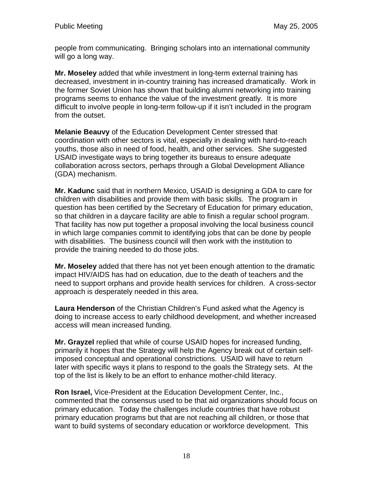people from communicating. Bringing scholars into an international community will go a long way.

**Mr. Moseley** added that while investment in long-term external training has decreased, investment in in-country training has increased dramatically. Work in the former Soviet Union has shown that building alumni networking into training programs seems to enhance the value of the investment greatly. It is more difficult to involve people in long-term follow-up if it isn't included in the program from the outset.

**Melanie Beauvy** of the Education Development Center stressed that coordination with other sectors is vital, especially in dealing with hard-to-reach youths, those also in need of food, health, and other services. She suggested USAID investigate ways to bring together its bureaus to ensure adequate collaboration across sectors, perhaps through a Global Development Alliance (GDA) mechanism.

**Mr. Kadunc** said that in northern Mexico, USAID is designing a GDA to care for children with disabilities and provide them with basic skills. The program in question has been certified by the Secretary of Education for primary education, so that children in a daycare facility are able to finish a regular school program. That facility has now put together a proposal involving the local business council in which large companies commit to identifying jobs that can be done by people with disabilities. The business council will then work with the institution to provide the training needed to do those jobs.

**Mr. Moseley** added that there has not yet been enough attention to the dramatic impact HIV/AIDS has had on education, due to the death of teachers and the need to support orphans and provide health services for children. A cross-sector approach is desperately needed in this area.

**Laura Henderson** of the Christian Children's Fund asked what the Agency is doing to increase access to early childhood development, and whether increased access will mean increased funding.

**Mr. Grayzel** replied that while of course USAID hopes for increased funding, primarily it hopes that the Strategy will help the Agency break out of certain selfimposed conceptual and operational constrictions. USAID will have to return later with specific ways it plans to respond to the goals the Strategy sets. At the top of the list is likely to be an effort to enhance mother-child literacy.

**Ron Israel,** Vice-President at the Education Development Center, Inc., commented that the consensus used to be that aid organizations should focus on primary education. Today the challenges include countries that have robust primary education programs but that are not reaching all children, or those that want to build systems of secondary education or workforce development. This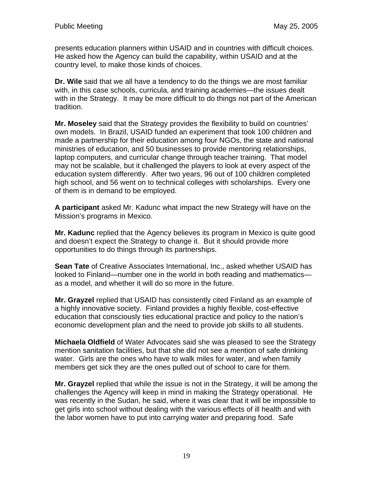presents education planners within USAID and in countries with difficult choices. He asked how the Agency can build the capability, within USAID and at the country level, to make those kinds of choices.

**Dr. Wile** said that we all have a tendency to do the things we are most familiar with, in this case schools, curricula, and training academies—the issues dealt with in the Strategy. It may be more difficult to do things not part of the American tradition.

**Mr. Moseley** said that the Strategy provides the flexibility to build on countries' own models. In Brazil, USAID funded an experiment that took 100 children and made a partnership for their education among four NGOs, the state and national ministries of education, and 50 businesses to provide mentoring relationships, laptop computers, and curricular change through teacher training. That model may not be scalable, but it challenged the players to look at every aspect of the education system differently. After two years, 96 out of 100 children completed high school, and 56 went on to technical colleges with scholarships. Every one of them is in demand to be employed.

**A participant** asked Mr. Kadunc what impact the new Strategy will have on the Mission's programs in Mexico.

**Mr. Kadunc** replied that the Agency believes its program in Mexico is quite good and doesn't expect the Strategy to change it. But it should provide more opportunities to do things through its partnerships.

**Sean Tate** of Creative Associates International, Inc., asked whether USAID has looked to Finland—number one in the world in both reading and mathematics as a model, and whether it will do so more in the future.

**Mr. Grayzel** replied that USAID has consistently cited Finland as an example of a highly innovative society. Finland provides a highly flexible, cost-effective education that consciously ties educational practice and policy to the nation's economic development plan and the need to provide job skills to all students.

**Michaela Oldfield** of Water Advocates said she was pleased to see the Strategy mention sanitation facilities, but that she did not see a mention of safe drinking water. Girls are the ones who have to walk miles for water, and when family members get sick they are the ones pulled out of school to care for them.

**Mr. Grayzel** replied that while the issue is not in the Strategy, it will be among the challenges the Agency will keep in mind in making the Strategy operational. He was recently in the Sudan, he said, where it was clear that it will be impossible to get girls into school without dealing with the various effects of ill health and with the labor women have to put into carrying water and preparing food. Safe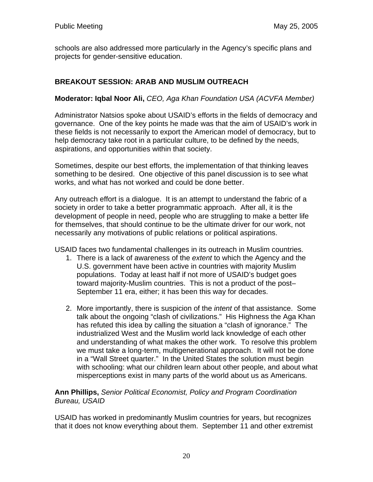schools are also addressed more particularly in the Agency's specific plans and projects for gender-sensitive education.

# **BREAKOUT SESSION: ARAB AND MUSLIM OUTREACH**

### **Moderator: Iqbal Noor Ali,** *CEO, Aga Khan Foundation USA (ACVFA Member)*

Administrator Natsios spoke about USAID's efforts in the fields of democracy and governance. One of the key points he made was that the aim of USAID's work in these fields is not necessarily to export the American model of democracy, but to help democracy take root in a particular culture, to be defined by the needs, aspirations, and opportunities within that society.

Sometimes, despite our best efforts, the implementation of that thinking leaves something to be desired. One objective of this panel discussion is to see what works, and what has not worked and could be done better.

Any outreach effort is a dialogue. It is an attempt to understand the fabric of a society in order to take a better programmatic approach. After all, it is the development of people in need, people who are struggling to make a better life for themselves, that should continue to be the ultimate driver for our work, not necessarily any motivations of public relations or political aspirations.

USAID faces two fundamental challenges in its outreach in Muslim countries.

- 1. There is a lack of awareness of the *extent* to which the Agency and the U.S. government have been active in countries with majority Muslim populations. Today at least half if not more of USAID's budget goes toward majority-Muslim countries. This is not a product of the post– September 11 era, either; it has been this way for decades.
- 2. More importantly, there is suspicion of the *intent* of that assistance. Some talk about the ongoing "clash of civilizations." His Highness the Aga Khan has refuted this idea by calling the situation a "clash of ignorance." The industrialized West and the Muslim world lack knowledge of each other and understanding of what makes the other work. To resolve this problem we must take a long-term, multigenerational approach. It will not be done in a "Wall Street quarter." In the United States the solution must begin with schooling: what our children learn about other people, and about what misperceptions exist in many parts of the world about us as Americans.

### **Ann Phillips,** *Senior Political Economist, Policy and Program Coordination Bureau, USAID*

USAID has worked in predominantly Muslim countries for years, but recognizes that it does not know everything about them. September 11 and other extremist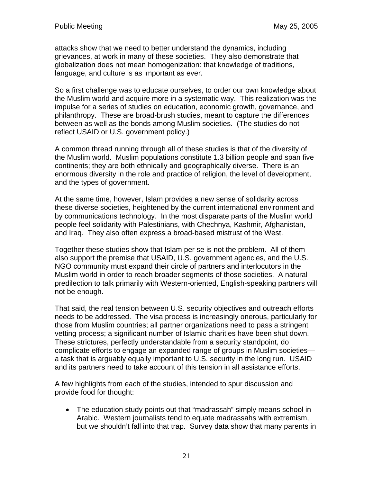attacks show that we need to better understand the dynamics, including grievances, at work in many of these societies. They also demonstrate that globalization does not mean homogenization: that knowledge of traditions, language, and culture is as important as ever.

So a first challenge was to educate ourselves, to order our own knowledge about the Muslim world and acquire more in a systematic way. This realization was the impulse for a series of studies on education, economic growth, governance, and philanthropy. These are broad-brush studies, meant to capture the differences between as well as the bonds among Muslim societies. (The studies do not reflect USAID or U.S. government policy.)

A common thread running through all of these studies is that of the diversity of the Muslim world. Muslim populations constitute 1.3 billion people and span five continents; they are both ethnically and geographically diverse. There is an enormous diversity in the role and practice of religion, the level of development, and the types of government.

At the same time, however, Islam provides a new sense of solidarity across these diverse societies, heightened by the current international environment and by communications technology. In the most disparate parts of the Muslim world people feel solidarity with Palestinians, with Chechnya, Kashmir, Afghanistan, and Iraq. They also often express a broad-based mistrust of the West.

Together these studies show that Islam per se is not the problem. All of them also support the premise that USAID, U.S. government agencies, and the U.S. NGO community must expand their circle of partners and interlocutors in the Muslim world in order to reach broader segments of those societies. A natural predilection to talk primarily with Western-oriented, English-speaking partners will not be enough.

That said, the real tension between U.S. security objectives and outreach efforts needs to be addressed. The visa process is increasingly onerous, particularly for those from Muslim countries; all partner organizations need to pass a stringent vetting process; a significant number of Islamic charities have been shut down. These strictures, perfectly understandable from a security standpoint, do complicate efforts to engage an expanded range of groups in Muslim societies a task that is arguably equally important to U.S. security in the long run. USAID and its partners need to take account of this tension in all assistance efforts.

A few highlights from each of the studies, intended to spur discussion and provide food for thought:

• The education study points out that "madrassah" simply means school in Arabic. Western journalists tend to equate madrassahs with extremism, but we shouldn't fall into that trap. Survey data show that many parents in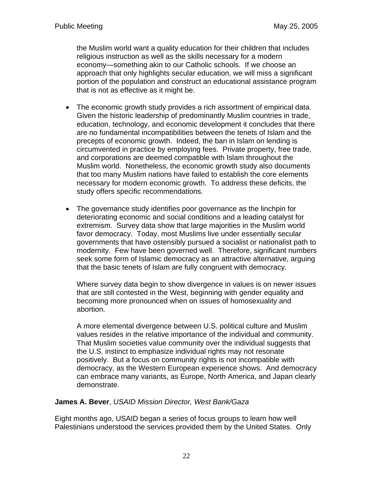the Muslim world want a quality education for their children that includes religious instruction as well as the skills necessary for a modern economy—something akin to our Catholic schools. If we choose an approach that only highlights secular education, we will miss a significant portion of the population and construct an educational assistance program that is not as effective as it might be.

- The economic growth study provides a rich assortment of empirical data. Given the historic leadership of predominantly Muslim countries in trade, education, technology, and economic development it concludes that there are no fundamental incompatibilities between the tenets of Islam and the precepts of economic growth. Indeed, the ban in Islam on lending is circumvented in practice by employing fees. Private property, free trade, and corporations are deemed compatible with Islam throughout the Muslim world. Nonetheless, the economic growth study also documents that too many Muslim nations have failed to establish the core elements necessary for modern economic growth. To address these deficits, the study offers specific recommendations.
- The governance study identifies poor governance as the linchpin for deteriorating economic and social conditions and a leading catalyst for extremism. Survey data show that large majorities in the Muslim world favor democracy. Today, most Muslims live under essentially secular governments that have ostensibly pursued a socialist or nationalist path to modernity. Few have been governed well. Therefore, significant numbers seek some form of Islamic democracy as an attractive alternative, arguing that the basic tenets of Islam are fully congruent with democracy.

Where survey data begin to show divergence in values is on newer issues that are still contested in the West, beginning with gender equality and becoming more pronounced when on issues of homosexuality and abortion.

A more elemental divergence between U.S. political culture and Muslim values resides in the relative importance of the individual and community. That Muslim societies value community over the individual suggests that the U.S. instinct to emphasize individual rights may not resonate positively. But a focus on community rights is not incompatible with democracy, as the Western European experience shows. And democracy can embrace many variants, as Europe, North America, and Japan clearly demonstrate.

### **James A. Bever**, *USAID Mission Director, West Bank/Gaza*

Eight months ago, USAID began a series of focus groups to learn how well Palestinians understood the services provided them by the United States. Only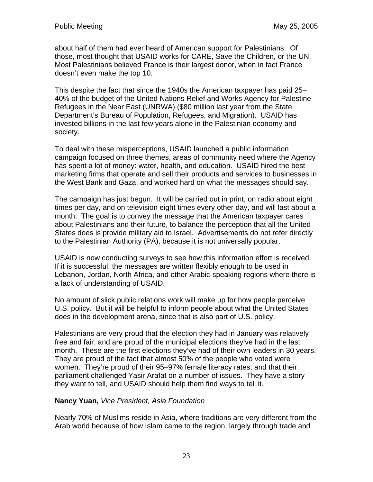about half of them had ever heard of American support for Palestinians. Of those, most thought that USAID works for CARE, Save the Children, or the UN. Most Palestinians believed France is their largest donor, when in fact France doesn't even make the top 10.

This despite the fact that since the 1940s the American taxpayer has paid 25– 40% of the budget of the United Nations Relief and Works Agency for Palestine Refugees in the Near East (UNRWA) (\$80 million last year from the State Department's Bureau of Population, Refugees, and Migration). USAID has invested billions in the last few years alone in the Palestinian economy and society.

To deal with these misperceptions, USAID launched a public information campaign focused on three themes, areas of community need where the Agency has spent a lot of money: water, health, and education. USAID hired the best marketing firms that operate and sell their products and services to businesses in the West Bank and Gaza, and worked hard on what the messages should say.

The campaign has just begun. It will be carried out in print, on radio about eight times per day, and on television eight times every other day, and will last about a month. The goal is to convey the message that the American taxpayer cares about Palestinians and their future, to balance the perception that all the United States does is provide military aid to Israel. Advertisements do not refer directly to the Palestinian Authority (PA), because it is not universally popular.

USAID is now conducting surveys to see how this information effort is received. If it is successful, the messages are written flexibly enough to be used in Lebanon, Jordan, North Africa, and other Arabic-speaking regions where there is a lack of understanding of USAID.

No amount of slick public relations work will make up for how people perceive U.S. policy. But it will be helpful to inform people about what the United States does in the development arena, since that is also part of U.S. policy.

Palestinians are very proud that the election they had in January was relatively free and fair, and are proud of the municipal elections they've had in the last month. These are the first elections they've had of their own leaders in 30 years. They are proud of the fact that almost 50% of the people who voted were women. They're proud of their 95–97% female literacy rates, and that their parliament challenged Yasir Arafat on a number of issues. They have a story they want to tell, and USAID should help them find ways to tell it.

## **Nancy Yuan,** *Vice President, Asia Foundation*

Nearly 70% of Muslims reside in Asia, where traditions are very different from the Arab world because of how Islam came to the region, largely through trade and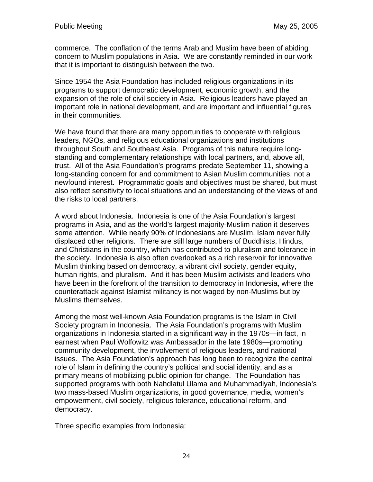commerce. The conflation of the terms Arab and Muslim have been of abiding concern to Muslim populations in Asia. We are constantly reminded in our work that it is important to distinguish between the two.

Since 1954 the Asia Foundation has included religious organizations in its programs to support democratic development, economic growth, and the expansion of the role of civil society in Asia. Religious leaders have played an important role in national development, and are important and influential figures in their communities.

We have found that there are many opportunities to cooperate with religious leaders, NGOs, and religious educational organizations and institutions throughout South and Southeast Asia. Programs of this nature require longstanding and complementary relationships with local partners, and, above all, trust. All of the Asia Foundation's programs predate September 11, showing a long-standing concern for and commitment to Asian Muslim communities, not a newfound interest. Programmatic goals and objectives must be shared, but must also reflect sensitivity to local situations and an understanding of the views of and the risks to local partners.

A word about Indonesia. Indonesia is one of the Asia Foundation's largest programs in Asia, and as the world's largest majority-Muslim nation it deserves some attention. While nearly 90% of Indonesians are Muslim, Islam never fully displaced other religions. There are still large numbers of Buddhists, Hindus, and Christians in the country, which has contributed to pluralism and tolerance in the society. Indonesia is also often overlooked as a rich reservoir for innovative Muslim thinking based on democracy, a vibrant civil society, gender equity, human rights, and pluralism. And it has been Muslim activists and leaders who have been in the forefront of the transition to democracy in Indonesia, where the counterattack against Islamist militancy is not waged by non-Muslims but by Muslims themselves.

Among the most well-known Asia Foundation programs is the Islam in Civil Society program in Indonesia. The Asia Foundation's programs with Muslim organizations in Indonesia started in a significant way in the 1970s—in fact, in earnest when Paul Wolfowitz was Ambassador in the late 1980s—promoting community development, the involvement of religious leaders, and national issues. The Asia Foundation's approach has long been to recognize the central role of Islam in defining the country's political and social identity, and as a primary means of mobilizing public opinion for change. The Foundation has supported programs with both Nahdlatul Ulama and Muhammadiyah, Indonesia's two mass-based Muslim organizations, in good governance, media, women's empowerment, civil society, religious tolerance, educational reform, and democracy.

Three specific examples from Indonesia: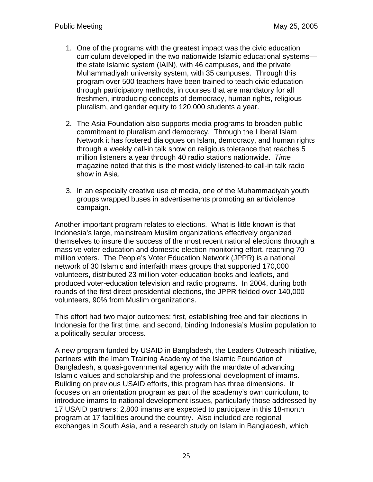- 1. One of the programs with the greatest impact was the civic education curriculum developed in the two nationwide Islamic educational systems the state Islamic system (IAIN), with 46 campuses, and the private Muhammadiyah university system, with 35 campuses. Through this program over 500 teachers have been trained to teach civic education through participatory methods, in courses that are mandatory for all freshmen, introducing concepts of democracy, human rights, religious pluralism, and gender equity to 120,000 students a year.
- 2. The Asia Foundation also supports media programs to broaden public commitment to pluralism and democracy. Through the Liberal Islam Network it has fostered dialogues on Islam, democracy, and human rights through a weekly call-in talk show on religious tolerance that reaches 5 million listeners a year through 40 radio stations nationwide. *Time*  magazine noted that this is the most widely listened-to call-in talk radio show in Asia.
- 3. In an especially creative use of media, one of the Muhammadiyah youth groups wrapped buses in advertisements promoting an antiviolence campaign.

Another important program relates to elections. What is little known is that Indonesia's large, mainstream Muslim organizations effectively organized themselves to insure the success of the most recent national elections through a massive voter-education and domestic election-monitoring effort, reaching 70 million voters. The People's Voter Education Network (JPPR) is a national network of 30 Islamic and interfaith mass groups that supported 170,000 volunteers, distributed 23 million voter-education books and leaflets, and produced voter-education television and radio programs. In 2004, during both rounds of the first direct presidential elections, the JPPR fielded over 140,000 volunteers, 90% from Muslim organizations.

This effort had two major outcomes: first, establishing free and fair elections in Indonesia for the first time, and second, binding Indonesia's Muslim population to a politically secular process.

A new program funded by USAID in Bangladesh, the Leaders Outreach Initiative, partners with the Imam Training Academy of the Islamic Foundation of Bangladesh, a quasi-governmental agency with the mandate of advancing Islamic values and scholarship and the professional development of imams. Building on previous USAID efforts, this program has three dimensions. It focuses on an orientation program as part of the academy's own curriculum, to introduce imams to national development issues, particularly those addressed by 17 USAID partners; 2,800 imams are expected to participate in this 18-month program at 17 facilities around the country. Also included are regional exchanges in South Asia, and a research study on Islam in Bangladesh, which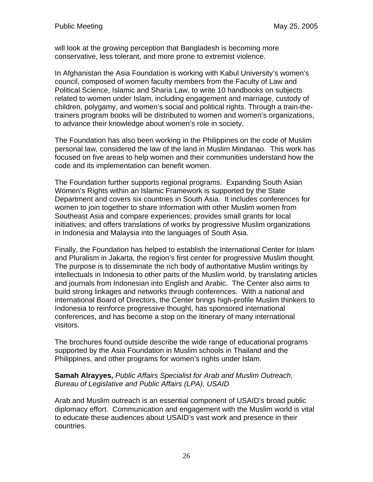will look at the growing perception that Bangladesh is becoming more conservative, less tolerant, and more prone to extremist violence.

In Afghanistan the Asia Foundation is working with Kabul University's women's council, composed of women faculty members from the Faculty of Law and Political Science, Islamic and Sharia Law, to write 10 handbooks on subjects related to women under Islam, including engagement and marriage, custody of children, polygamy, and women's social and political rights. Through a train-thetrainers program books will be distributed to women and women's organizations, to advance their knowledge about women's role in society.

The Foundation has also been working in the Philippines on the code of Muslim personal law, considered the law of the land in Muslim Mindanao. This work has focused on five areas to help women and their communities understand how the code and its implementation can benefit women.

The Foundation further supports regional programs. Expanding South Asian Women's Rights within an Islamic Framework is supported by the State Department and covers six countries in South Asia. It includes conferences for women to join together to share information with other Muslim women from Southeast Asia and compare experiences; provides small grants for local initiatives; and offers translations of works by progressive Muslim organizations in Indonesia and Malaysia into the languages of South Asia.

Finally, the Foundation has helped to establish the International Center for Islam and Pluralism in Jakarta, the region's first center for progressive Muslim thought. The purpose is to disseminate the rich body of authoritative Muslim writings by intellectuals in Indonesia to other parts of the Muslim world, by translating articles and journals from Indonesian into English and Arabic. The Center also aims to build strong linkages and networks through conferences. With a national and international Board of Directors, the Center brings high-profile Muslim thinkers to Indonesia to reinforce progressive thought, has sponsored international conferences, and has become a stop on the itinerary of many international visitors.

The brochures found outside describe the wide range of educational programs supported by the Asia Foundation in Muslim schools in Thailand and the Philippines, and other programs for women's rights under Islam.

### **Samah Alrayyes,** *Public Affairs Specialist for Arab and Muslim Outreach, Bureau of Legislative and Public Affairs (LPA), USAID*

Arab and Muslim outreach is an essential component of USAID's broad public diplomacy effort. Communication and engagement with the Muslim world is vital to educate these audiences about USAID's vast work and presence in their countries.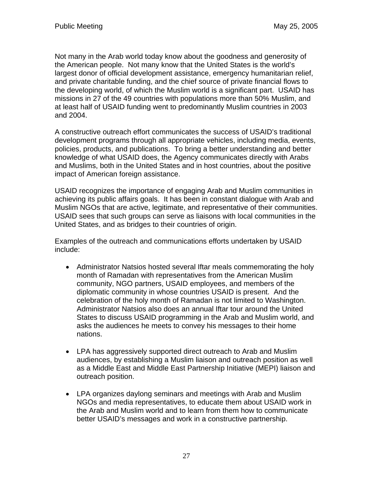Not many in the Arab world today know about the goodness and generosity of the American people. Not many know that the United States is the world's largest donor of official development assistance, emergency humanitarian relief, and private charitable funding, and the chief source of private financial flows to the developing world, of which the Muslim world is a significant part. USAID has missions in 27 of the 49 countries with populations more than 50% Muslim, and at least half of USAID funding went to predominantly Muslim countries in 2003 and 2004.

A constructive outreach effort communicates the success of USAID's traditional development programs through all appropriate vehicles, including media, events, policies, products, and publications. To bring a better understanding and better knowledge of what USAID does, the Agency communicates directly with Arabs and Muslims, both in the United States and in host countries, about the positive impact of American foreign assistance.

USAID recognizes the importance of engaging Arab and Muslim communities in achieving its public affairs goals. It has been in constant dialogue with Arab and Muslim NGOs that are active, legitimate, and representative of their communities. USAID sees that such groups can serve as liaisons with local communities in the United States, and as bridges to their countries of origin.

Examples of the outreach and communications efforts undertaken by USAID include:

- Administrator Natsios hosted several Iftar meals commemorating the holy month of Ramadan with representatives from the American Muslim community, NGO partners, USAID employees, and members of the diplomatic community in whose countries USAID is present. And the celebration of the holy month of Ramadan is not limited to Washington. Administrator Natsios also does an annual Iftar tour around the United States to discuss USAID programming in the Arab and Muslim world, and asks the audiences he meets to convey his messages to their home nations.
- LPA has aggressively supported direct outreach to Arab and Muslim audiences, by establishing a Muslim liaison and outreach position as well as a Middle East and Middle East Partnership Initiative (MEPI) liaison and outreach position.
- LPA organizes daylong seminars and meetings with Arab and Muslim NGOs and media representatives, to educate them about USAID work in the Arab and Muslim world and to learn from them how to communicate better USAID's messages and work in a constructive partnership.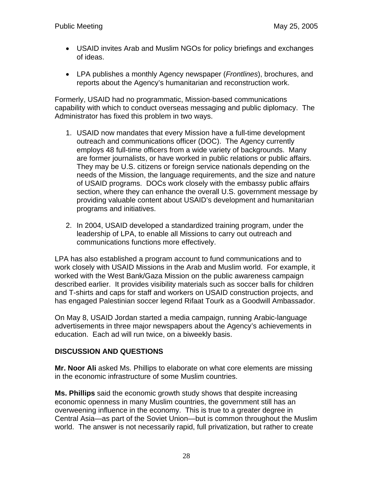- USAID invites Arab and Muslim NGOs for policy briefings and exchanges of ideas.
- LPA publishes a monthly Agency newspaper (*Frontlines*), brochures, and reports about the Agency's humanitarian and reconstruction work.

Formerly, USAID had no programmatic, Mission-based communications capability with which to conduct overseas messaging and public diplomacy. The Administrator has fixed this problem in two ways.

- 1. USAID now mandates that every Mission have a full-time development outreach and communications officer (DOC). The Agency currently employs 48 full-time officers from a wide variety of backgrounds. Many are former journalists, or have worked in public relations or public affairs. They may be U.S. citizens or foreign service nationals depending on the needs of the Mission, the language requirements, and the size and nature of USAID programs. DOCs work closely with the embassy public affairs section, where they can enhance the overall U.S. government message by providing valuable content about USAID's development and humanitarian programs and initiatives.
- 2. In 2004, USAID developed a standardized training program, under the leadership of LPA, to enable all Missions to carry out outreach and communications functions more effectively.

LPA has also established a program account to fund communications and to work closely with USAID Missions in the Arab and Muslim world. For example, it worked with the West Bank/Gaza Mission on the public awareness campaign described earlier. It provides visibility materials such as soccer balls for children and T-shirts and caps for staff and workers on USAID construction projects, and has engaged Palestinian soccer legend Rifaat Tourk as a Goodwill Ambassador.

On May 8, USAID Jordan started a media campaign, running Arabic-language advertisements in three major newspapers about the Agency's achievements in education. Each ad will run twice, on a biweekly basis.

## **DISCUSSION AND QUESTIONS**

**Mr. Noor Ali** asked Ms. Phillips to elaborate on what core elements are missing in the economic infrastructure of some Muslim countries.

**Ms. Phillips** said the economic growth study shows that despite increasing economic openness in many Muslim countries, the government still has an overweening influence in the economy. This is true to a greater degree in Central Asia—as part of the Soviet Union—but is common throughout the Muslim world. The answer is not necessarily rapid, full privatization, but rather to create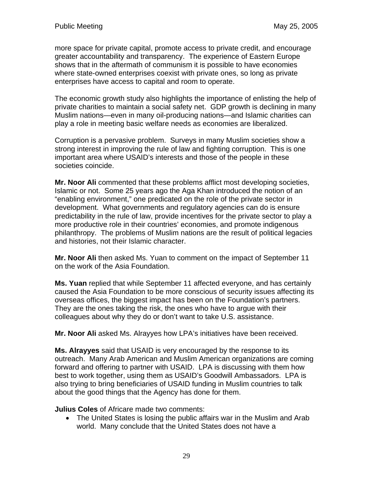more space for private capital, promote access to private credit, and encourage greater accountability and transparency. The experience of Eastern Europe shows that in the aftermath of communism it is possible to have economies where state-owned enterprises coexist with private ones, so long as private enterprises have access to capital and room to operate.

The economic growth study also highlights the importance of enlisting the help of private charities to maintain a social safety net. GDP growth is declining in many Muslim nations—even in many oil-producing nations—and Islamic charities can play a role in meeting basic welfare needs as economies are liberalized.

Corruption is a pervasive problem. Surveys in many Muslim societies show a strong interest in improving the rule of law and fighting corruption. This is one important area where USAID's interests and those of the people in these societies coincide.

**Mr. Noor Ali** commented that these problems afflict most developing societies, Islamic or not. Some 25 years ago the Aga Khan introduced the notion of an "enabling environment," one predicated on the role of the private sector in development. What governments and regulatory agencies can do is ensure predictability in the rule of law, provide incentives for the private sector to play a more productive role in their countries' economies, and promote indigenous philanthropy. The problems of Muslim nations are the result of political legacies and histories, not their Islamic character.

**Mr. Noor Ali** then asked Ms. Yuan to comment on the impact of September 11 on the work of the Asia Foundation.

**Ms. Yuan** replied that while September 11 affected everyone, and has certainly caused the Asia Foundation to be more conscious of security issues affecting its overseas offices, the biggest impact has been on the Foundation's partners. They are the ones taking the risk, the ones who have to argue with their colleagues about why they do or don't want to take U.S. assistance.

**Mr. Noor Ali** asked Ms. Alrayyes how LPA's initiatives have been received.

**Ms. Alrayyes** said that USAID is very encouraged by the response to its outreach. Many Arab American and Muslim American organizations are coming forward and offering to partner with USAID. LPA is discussing with them how best to work together, using them as USAID's Goodwill Ambassadors. LPA is also trying to bring beneficiaries of USAID funding in Muslim countries to talk about the good things that the Agency has done for them.

**Julius Coles** of Africare made two comments:

• The United States is losing the public affairs war in the Muslim and Arab world. Many conclude that the United States does not have a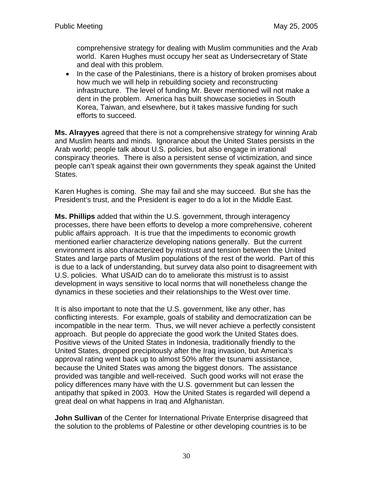comprehensive strategy for dealing with Muslim communities and the Arab world. Karen Hughes must occupy her seat as Undersecretary of State and deal with this problem.

• In the case of the Palestinians, there is a history of broken promises about how much we will help in rebuilding society and reconstructing infrastructure. The level of funding Mr. Bever mentioned will not make a dent in the problem. America has built showcase societies in South Korea, Taiwan, and elsewhere, but it takes massive funding for such efforts to succeed.

**Ms. Alrayyes** agreed that there is not a comprehensive strategy for winning Arab and Muslim hearts and minds. Ignorance about the United States persists in the Arab world; people talk about U.S. policies, but also engage in irrational conspiracy theories. There is also a persistent sense of victimization, and since people can't speak against their own governments they speak against the United States.

Karen Hughes is coming. She may fail and she may succeed. But she has the President's trust, and the President is eager to do a lot in the Middle East.

**Ms. Phillips** added that within the U.S. government, through interagency processes, there have been efforts to develop a more comprehensive, coherent public affairs approach. It is true that the impediments to economic growth mentioned earlier characterize developing nations generally. But the current environment is also characterized by mistrust and tension between the United States and large parts of Muslim populations of the rest of the world. Part of this is due to a lack of understanding, but survey data also point to disagreement with U.S. policies. What USAID can do to ameliorate this mistrust is to assist development in ways sensitive to local norms that will nonetheless change the dynamics in these societies and their relationships to the West over time.

It is also important to note that the U.S. government, like any other, has conflicting interests. For example, goals of stability and democratization can be incompatible in the near term. Thus, we will never achieve a perfectly consistent approach. But people do appreciate the good work the United States does. Positive views of the United States in Indonesia, traditionally friendly to the United States, dropped precipitously after the Iraq invasion, but America's approval rating went back up to almost 50% after the tsunami assistance, because the United States was among the biggest donors. The assistance provided was tangible and well-received. Such good works will not erase the policy differences many have with the U.S. government but can lessen the antipathy that spiked in 2003. How the United States is regarded will depend a great deal on what happens in Iraq and Afghanistan.

**John Sullivan** of the Center for International Private Enterprise disagreed that the solution to the problems of Palestine or other developing countries is to be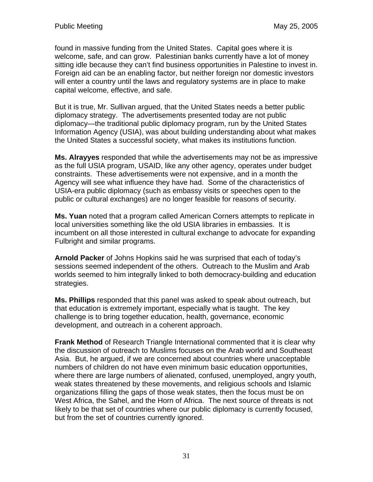found in massive funding from the United States. Capital goes where it is welcome, safe, and can grow. Palestinian banks currently have a lot of money sitting idle because they can't find business opportunities in Palestine to invest in. Foreign aid can be an enabling factor, but neither foreign nor domestic investors will enter a country until the laws and regulatory systems are in place to make capital welcome, effective, and safe.

But it is true, Mr. Sullivan argued, that the United States needs a better public diplomacy strategy. The advertisements presented today are not public diplomacy—the traditional public diplomacy program, run by the United States Information Agency (USIA), was about building understanding about what makes the United States a successful society, what makes its institutions function.

**Ms. Alrayyes** responded that while the advertisements may not be as impressive as the full USIA program, USAID, like any other agency, operates under budget constraints. These advertisements were not expensive, and in a month the Agency will see what influence they have had. Some of the characteristics of USIA-era public diplomacy (such as embassy visits or speeches open to the public or cultural exchanges) are no longer feasible for reasons of security.

**Ms. Yuan** noted that a program called American Corners attempts to replicate in local universities something like the old USIA libraries in embassies. It is incumbent on all those interested in cultural exchange to advocate for expanding Fulbright and similar programs.

**Arnold Packer** of Johns Hopkins said he was surprised that each of today's sessions seemed independent of the others. Outreach to the Muslim and Arab worlds seemed to him integrally linked to both democracy-building and education strategies.

**Ms. Phillips** responded that this panel was asked to speak about outreach, but that education is extremely important, especially what is taught. The key challenge is to bring together education, health, governance, economic development, and outreach in a coherent approach.

**Frank Method** of Research Triangle International commented that it is clear why the discussion of outreach to Muslims focuses on the Arab world and Southeast Asia. But, he argued, if we are concerned about countries where unacceptable numbers of children do not have even minimum basic education opportunities, where there are large numbers of alienated, confused, unemployed, angry youth, weak states threatened by these movements, and religious schools and Islamic organizations filling the gaps of those weak states, then the focus must be on West Africa, the Sahel, and the Horn of Africa. The next source of threats is not likely to be that set of countries where our public diplomacy is currently focused, but from the set of countries currently ignored.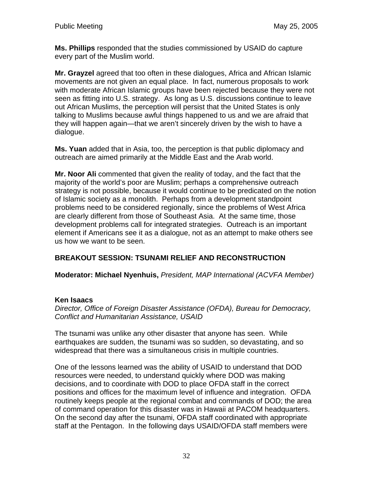**Ms. Phillips** responded that the studies commissioned by USAID do capture every part of the Muslim world.

**Mr. Grayzel** agreed that too often in these dialogues, Africa and African Islamic movements are not given an equal place. In fact, numerous proposals to work with moderate African Islamic groups have been rejected because they were not seen as fitting into U.S. strategy. As long as U.S. discussions continue to leave out African Muslims, the perception will persist that the United States is only talking to Muslims because awful things happened to us and we are afraid that they will happen again—that we aren't sincerely driven by the wish to have a dialogue.

**Ms. Yuan** added that in Asia, too, the perception is that public diplomacy and outreach are aimed primarily at the Middle East and the Arab world.

**Mr. Noor Ali** commented that given the reality of today, and the fact that the majority of the world's poor are Muslim; perhaps a comprehensive outreach strategy is not possible, because it would continue to be predicated on the notion of Islamic society as a monolith. Perhaps from a development standpoint problems need to be considered regionally, since the problems of West Africa are clearly different from those of Southeast Asia. At the same time, those development problems call for integrated strategies. Outreach is an important element if Americans see it as a dialogue, not as an attempt to make others see us how we want to be seen.

# **BREAKOUT SESSION: TSUNAMI RELIEF AND RECONSTRUCTION**

**Moderator: Michael Nyenhuis,** *President, MAP International (ACVFA Member)*

## **Ken Isaacs**

*Director, Office of Foreign Disaster Assistance (OFDA), Bureau for Democracy, Conflict and Humanitarian Assistance, USAID* 

The tsunami was unlike any other disaster that anyone has seen. While earthquakes are sudden, the tsunami was so sudden, so devastating, and so widespread that there was a simultaneous crisis in multiple countries.

One of the lessons learned was the ability of USAID to understand that DOD resources were needed, to understand quickly where DOD was making decisions, and to coordinate with DOD to place OFDA staff in the correct positions and offices for the maximum level of influence and integration. OFDA routinely keeps people at the regional combat and commands of DOD; the area of command operation for this disaster was in Hawaii at PACOM headquarters. On the second day after the tsunami, OFDA staff coordinated with appropriate staff at the Pentagon. In the following days USAID/OFDA staff members were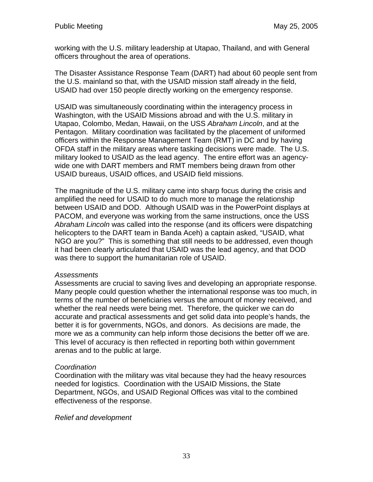working with the U.S. military leadership at Utapao, Thailand, and with General officers throughout the area of operations.

The Disaster Assistance Response Team (DART) had about 60 people sent from the U.S. mainland so that, with the USAID mission staff already in the field, USAID had over 150 people directly working on the emergency response.

USAID was simultaneously coordinating within the interagency process in Washington, with the USAID Missions abroad and with the U.S. military in Utapao, Colombo, Medan, Hawaii, on the USS *Abraham Lincoln*, and at the Pentagon. Military coordination was facilitated by the placement of uniformed officers within the Response Management Team (RMT) in DC and by having OFDA staff in the military areas where tasking decisions were made. The U.S. military looked to USAID as the lead agency. The entire effort was an agencywide one with DART members and RMT members being drawn from other USAID bureaus, USAID offices, and USAID field missions.

The magnitude of the U.S. military came into sharp focus during the crisis and amplified the need for USAID to do much more to manage the relationship between USAID and DOD. Although USAID was in the PowerPoint displays at PACOM, and everyone was working from the same instructions, once the USS *Abraham Lincoln* was called into the response (and its officers were dispatching helicopters to the DART team in Banda Aceh) a captain asked, "USAID, what NGO are you?" This is something that still needs to be addressed, even though it had been clearly articulated that USAID was the lead agency, and that DOD was there to support the humanitarian role of USAID.

### *Assessments*

Assessments are crucial to saving lives and developing an appropriate response. Many people could question whether the international response was too much, in terms of the number of beneficiaries versus the amount of money received, and whether the real needs were being met. Therefore, the quicker we can do accurate and practical assessments and get solid data into people's hands, the better it is for governments, NGOs, and donors. As decisions are made, the more we as a community can help inform those decisions the better off we are. This level of accuracy is then reflected in reporting both within government arenas and to the public at large.

### *Coordination*

Coordination with the military was vital because they had the heavy resources needed for logistics. Coordination with the USAID Missions, the State Department, NGOs, and USAID Regional Offices was vital to the combined effectiveness of the response.

### *Relief and development*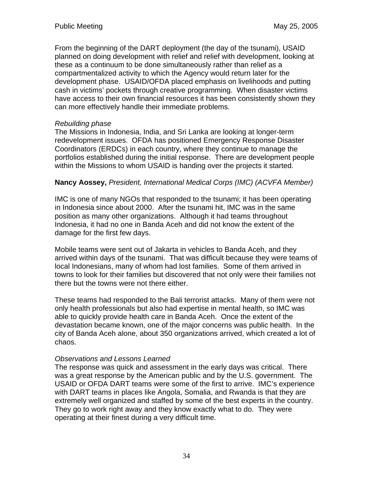From the beginning of the DART deployment (the day of the tsunami), USAID planned on doing development with relief and relief with development, looking at these as a continuum to be done simultaneously rather than relief as a compartmentalized activity to which the Agency would return later for the development phase. USAID/OFDA placed emphasis on livelihoods and putting cash in victims' pockets through creative programming. When disaster victims have access to their own financial resources it has been consistently shown they can more effectively handle their immediate problems.

# *Rebuilding phase*

The Missions in Indonesia, India, and Sri Lanka are looking at longer-term redevelopment issues. OFDA has positioned Emergency Response Disaster Coordinators (ERDCs) in each country, where they continue to manage the portfolios established during the initial response. There are development people within the Missions to whom USAID is handing over the projects it started.

# **Nancy Aossey,** *President, International Medical Corps (IMC) (ACVFA Member)*

IMC is one of many NGOs that responded to the tsunami; it has been operating in Indonesia since about 2000. After the tsunami hit, IMC was in the same position as many other organizations. Although it had teams throughout Indonesia, it had no one in Banda Aceh and did not know the extent of the damage for the first few days.

Mobile teams were sent out of Jakarta in vehicles to Banda Aceh, and they arrived within days of the tsunami. That was difficult because they were teams of local Indonesians, many of whom had lost families. Some of them arrived in towns to look for their families but discovered that not only were their families not there but the towns were not there either.

These teams had responded to the Bali terrorist attacks. Many of them were not only health professionals but also had expertise in mental health, so IMC was able to quickly provide health care in Banda Aceh. Once the extent of the devastation became known, one of the major concerns was public health. In the city of Banda Aceh alone, about 350 organizations arrived, which created a lot of chaos.

## *Observations and Lessons Learned*

The response was quick and assessment in the early days was critical. There was a great response by the American public and by the U.S. government. The USAID or OFDA DART teams were some of the first to arrive. IMC's experience with DART teams in places like Angola, Somalia, and Rwanda is that they are extremely well organized and staffed by some of the best experts in the country. They go to work right away and they know exactly what to do. They were operating at their finest during a very difficult time.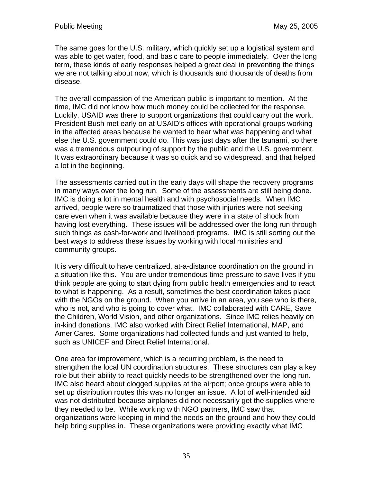The same goes for the U.S. military, which quickly set up a logistical system and was able to get water, food, and basic care to people immediately. Over the long term, these kinds of early responses helped a great deal in preventing the things we are not talking about now, which is thousands and thousands of deaths from disease.

The overall compassion of the American public is important to mention. At the time, IMC did not know how much money could be collected for the response. Luckily, USAID was there to support organizations that could carry out the work. President Bush met early on at USAID's offices with operational groups working in the affected areas because he wanted to hear what was happening and what else the U.S. government could do. This was just days after the tsunami, so there was a tremendous outpouring of support by the public and the U.S. government. It was extraordinary because it was so quick and so widespread, and that helped a lot in the beginning.

The assessments carried out in the early days will shape the recovery programs in many ways over the long run. Some of the assessments are still being done. IMC is doing a lot in mental health and with psychosocial needs. When IMC arrived, people were so traumatized that those with injuries were not seeking care even when it was available because they were in a state of shock from having lost everything. These issues will be addressed over the long run through such things as cash-for-work and livelihood programs. IMC is still sorting out the best ways to address these issues by working with local ministries and community groups.

It is very difficult to have centralized, at-a-distance coordination on the ground in a situation like this. You are under tremendous time pressure to save lives if you think people are going to start dying from public health emergencies and to react to what is happening. As a result, sometimes the best coordination takes place with the NGOs on the ground. When you arrive in an area, you see who is there, who is not, and who is going to cover what. IMC collaborated with CARE, Save the Children, World Vision, and other organizations. Since IMC relies heavily on in-kind donations, IMC also worked with Direct Relief International, MAP, and AmeriCares. Some organizations had collected funds and just wanted to help, such as UNICEF and Direct Relief International.

One area for improvement, which is a recurring problem, is the need to strengthen the local UN coordination structures. These structures can play a key role but their ability to react quickly needs to be strengthened over the long run. IMC also heard about clogged supplies at the airport; once groups were able to set up distribution routes this was no longer an issue. A lot of well-intended aid was not distributed because airplanes did not necessarily get the supplies where they needed to be. While working with NGO partners, IMC saw that organizations were keeping in mind the needs on the ground and how they could help bring supplies in. These organizations were providing exactly what IMC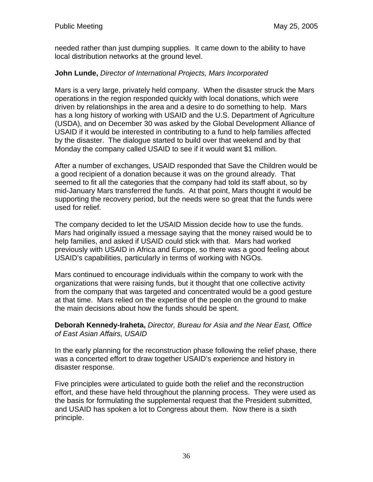needed rather than just dumping supplies. It came down to the ability to have local distribution networks at the ground level.

## **John Lunde,** *Director of International Projects, Mars Incorporated*

Mars is a very large, privately held company. When the disaster struck the Mars operations in the region responded quickly with local donations, which were driven by relationships in the area and a desire to do something to help. Mars has a long history of working with USAID and the U.S. Department of Agriculture (USDA), and on December 30 was asked by the Global Development Alliance of USAID if it would be interested in contributing to a fund to help families affected by the disaster. The dialogue started to build over that weekend and by that Monday the company called USAID to see if it would want \$1 million.

After a number of exchanges, USAID responded that Save the Children would be a good recipient of a donation because it was on the ground already. That seemed to fit all the categories that the company had told its staff about, so by mid-January Mars transferred the funds. At that point, Mars thought it would be supporting the recovery period, but the needs were so great that the funds were used for relief.

The company decided to let the USAID Mission decide how to use the funds. Mars had originally issued a message saying that the money raised would be to help families, and asked if USAID could stick with that. Mars had worked previously with USAID in Africa and Europe, so there was a good feeling about USAID's capabilities, particularly in terms of working with NGOs.

Mars continued to encourage individuals within the company to work with the organizations that were raising funds, but it thought that one collective activity from the company that was targeted and concentrated would be a good gesture at that time. Mars relied on the expertise of the people on the ground to make the main decisions about how the funds should be spent.

### **Deborah Kennedy-Iraheta,** *Director, Bureau for Asia and the Near East, Office of East Asian Affairs, USAID*

In the early planning for the reconstruction phase following the relief phase, there was a concerted effort to draw together USAID's experience and history in disaster response.

Five principles were articulated to guide both the relief and the reconstruction effort, and these have held throughout the planning process. They were used as the basis for formulating the supplemental request that the President submitted, and USAID has spoken a lot to Congress about them. Now there is a sixth principle.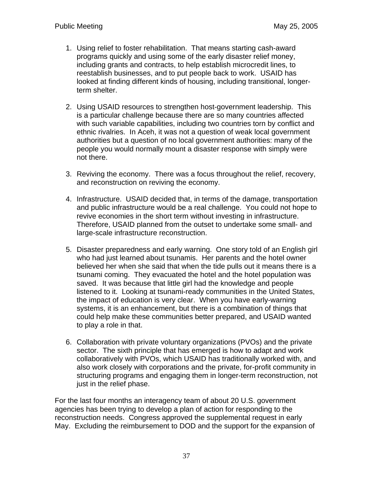- 1. Using relief to foster rehabilitation. That means starting cash-award programs quickly and using some of the early disaster relief money, including grants and contracts, to help establish microcredit lines, to reestablish businesses, and to put people back to work. USAID has looked at finding different kinds of housing, including transitional, longerterm shelter.
- 2. Using USAID resources to strengthen host-government leadership. This is a particular challenge because there are so many countries affected with such variable capabilities, including two countries torn by conflict and ethnic rivalries. In Aceh, it was not a question of weak local government authorities but a question of no local government authorities: many of the people you would normally mount a disaster response with simply were not there.
- 3. Reviving the economy. There was a focus throughout the relief, recovery, and reconstruction on reviving the economy.
- 4. Infrastructure. USAID decided that, in terms of the damage, transportation and public infrastructure would be a real challenge. You could not hope to revive economies in the short term without investing in infrastructure. Therefore, USAID planned from the outset to undertake some small- and large-scale infrastructure reconstruction.
- 5. Disaster preparedness and early warning. One story told of an English girl who had just learned about tsunamis. Her parents and the hotel owner believed her when she said that when the tide pulls out it means there is a tsunami coming. They evacuated the hotel and the hotel population was saved. It was because that little girl had the knowledge and people listened to it. Looking at tsunami-ready communities in the United States, the impact of education is very clear. When you have early-warning systems, it is an enhancement, but there is a combination of things that could help make these communities better prepared, and USAID wanted to play a role in that.
- 6. Collaboration with private voluntary organizations (PVOs) and the private sector. The sixth principle that has emerged is how to adapt and work collaboratively with PVOs, which USAID has traditionally worked with, and also work closely with corporations and the private, for-profit community in structuring programs and engaging them in longer-term reconstruction, not just in the relief phase.

For the last four months an interagency team of about 20 U.S. government agencies has been trying to develop a plan of action for responding to the reconstruction needs. Congress approved the supplemental request in early May. Excluding the reimbursement to DOD and the support for the expansion of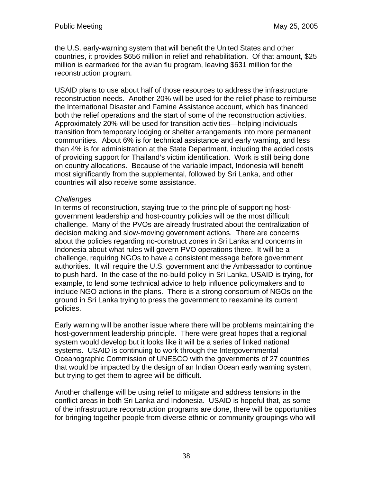the U.S. early-warning system that will benefit the United States and other countries, it provides \$656 million in relief and rehabilitation. Of that amount, \$25 million is earmarked for the avian flu program, leaving \$631 million for the reconstruction program.

USAID plans to use about half of those resources to address the infrastructure reconstruction needs. Another 20% will be used for the relief phase to reimburse the International Disaster and Famine Assistance account, which has financed both the relief operations and the start of some of the reconstruction activities. Approximately 20% will be used for transition activities—helping individuals transition from temporary lodging or shelter arrangements into more permanent communities. About 6% is for technical assistance and early warning, and less than 4% is for administration at the State Department, including the added costs of providing support for Thailand's victim identification. Work is still being done on country allocations. Because of the variable impact, Indonesia will benefit most significantly from the supplemental, followed by Sri Lanka, and other countries will also receive some assistance.

### *Challenges*

In terms of reconstruction, staying true to the principle of supporting hostgovernment leadership and host-country policies will be the most difficult challenge. Many of the PVOs are already frustrated about the centralization of decision making and slow-moving government actions. There are concerns about the policies regarding no-construct zones in Sri Lanka and concerns in Indonesia about what rules will govern PVO operations there. It will be a challenge, requiring NGOs to have a consistent message before government authorities. It will require the U.S. government and the Ambassador to continue to push hard. In the case of the no-build policy in Sri Lanka, USAID is trying, for example, to lend some technical advice to help influence policymakers and to include NGO actions in the plans. There is a strong consortium of NGOs on the ground in Sri Lanka trying to press the government to reexamine its current policies.

Early warning will be another issue where there will be problems maintaining the host-government leadership principle. There were great hopes that a regional system would develop but it looks like it will be a series of linked national systems. USAID is continuing to work through the Intergovernmental Oceanographic Commission of UNESCO with the governments of 27 countries that would be impacted by the design of an Indian Ocean early warning system, but trying to get them to agree will be difficult.

Another challenge will be using relief to mitigate and address tensions in the conflict areas in both Sri Lanka and Indonesia. USAID is hopeful that, as some of the infrastructure reconstruction programs are done, there will be opportunities for bringing together people from diverse ethnic or community groupings who will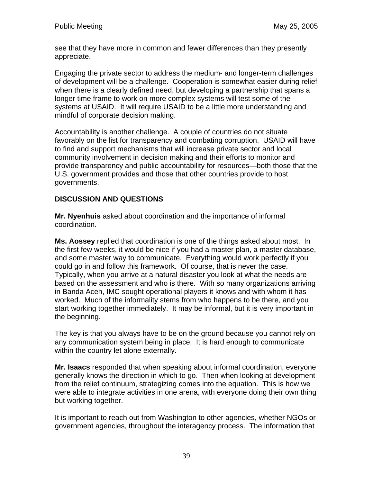see that they have more in common and fewer differences than they presently appreciate.

Engaging the private sector to address the medium- and longer-term challenges of development will be a challenge. Cooperation is somewhat easier during relief when there is a clearly defined need, but developing a partnership that spans a longer time frame to work on more complex systems will test some of the systems at USAID. It will require USAID to be a little more understanding and mindful of corporate decision making.

Accountability is another challenge. A couple of countries do not situate favorably on the list for transparency and combating corruption. USAID will have to find and support mechanisms that will increase private sector and local community involvement in decision making and their efforts to monitor and provide transparency and public accountability for resources—both those that the U.S. government provides and those that other countries provide to host governments.

# **DISCUSSION AND QUESTIONS**

**Mr. Nyenhuis** asked about coordination and the importance of informal coordination.

**Ms. Aossey** replied that coordination is one of the things asked about most. In the first few weeks, it would be nice if you had a master plan, a master database, and some master way to communicate. Everything would work perfectly if you could go in and follow this framework. Of course, that is never the case. Typically, when you arrive at a natural disaster you look at what the needs are based on the assessment and who is there. With so many organizations arriving in Banda Aceh, IMC sought operational players it knows and with whom it has worked. Much of the informality stems from who happens to be there, and you start working together immediately. It may be informal, but it is very important in the beginning.

The key is that you always have to be on the ground because you cannot rely on any communication system being in place. It is hard enough to communicate within the country let alone externally.

**Mr. Isaacs** responded that when speaking about informal coordination, everyone generally knows the direction in which to go. Then when looking at development from the relief continuum, strategizing comes into the equation. This is how we were able to integrate activities in one arena, with everyone doing their own thing but working together.

It is important to reach out from Washington to other agencies, whether NGOs or government agencies, throughout the interagency process. The information that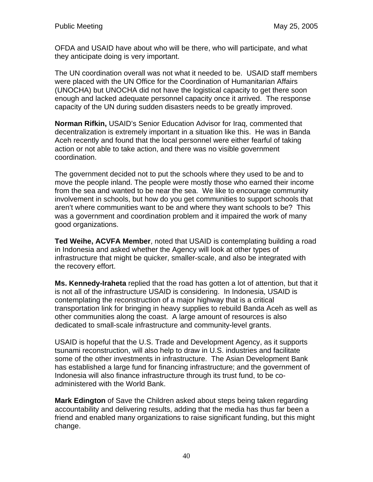OFDA and USAID have about who will be there, who will participate, and what they anticipate doing is very important.

The UN coordination overall was not what it needed to be. USAID staff members were placed with the UN Office for the Coordination of Humanitarian Affairs (UNOCHA) but UNOCHA did not have the logistical capacity to get there soon enough and lacked adequate personnel capacity once it arrived. The response capacity of the UN during sudden disasters needs to be greatly improved.

**Norman Rifkin,** USAID's Senior Education Advisor for Iraq, commented that decentralization is extremely important in a situation like this. He was in Banda Aceh recently and found that the local personnel were either fearful of taking action or not able to take action, and there was no visible government coordination.

The government decided not to put the schools where they used to be and to move the people inland. The people were mostly those who earned their income from the sea and wanted to be near the sea. We like to encourage community involvement in schools, but how do you get communities to support schools that aren't where communities want to be and where they want schools to be? This was a government and coordination problem and it impaired the work of many good organizations.

**Ted Weihe, ACVFA Member**, noted that USAID is contemplating building a road in Indonesia and asked whether the Agency will look at other types of infrastructure that might be quicker, smaller-scale, and also be integrated with the recovery effort.

**Ms. Kennedy-Iraheta** replied that the road has gotten a lot of attention, but that it is not all of the infrastructure USAID is considering. In Indonesia, USAID is contemplating the reconstruction of a major highway that is a critical transportation link for bringing in heavy supplies to rebuild Banda Aceh as well as other communities along the coast. A large amount of resources is also dedicated to small-scale infrastructure and community-level grants.

USAID is hopeful that the U.S. Trade and Development Agency, as it supports tsunami reconstruction, will also help to draw in U.S. industries and facilitate some of the other investments in infrastructure. The Asian Development Bank has established a large fund for financing infrastructure; and the government of Indonesia will also finance infrastructure through its trust fund, to be coadministered with the World Bank.

**Mark Edington** of Save the Children asked about steps being taken regarding accountability and delivering results, adding that the media has thus far been a friend and enabled many organizations to raise significant funding, but this might change.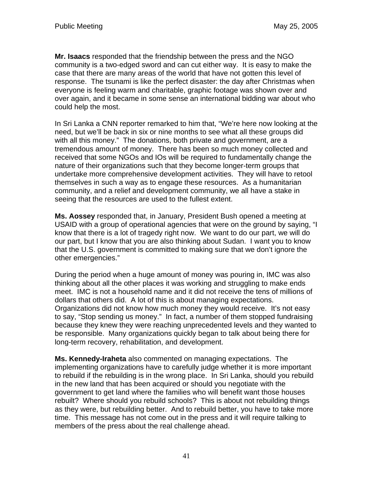**Mr. Isaacs** responded that the friendship between the press and the NGO community is a two-edged sword and can cut either way. It is easy to make the case that there are many areas of the world that have not gotten this level of response. The tsunami is like the perfect disaster: the day after Christmas when everyone is feeling warm and charitable, graphic footage was shown over and over again, and it became in some sense an international bidding war about who could help the most.

In Sri Lanka a CNN reporter remarked to him that, "We're here now looking at the need, but we'll be back in six or nine months to see what all these groups did with all this money." The donations, both private and government, are a tremendous amount of money. There has been so much money collected and received that some NGOs and IOs will be required to fundamentally change the nature of their organizations such that they become longer-term groups that undertake more comprehensive development activities. They will have to retool themselves in such a way as to engage these resources. As a humanitarian community, and a relief and development community, we all have a stake in seeing that the resources are used to the fullest extent.

**Ms. Aossey** responded that, in January, President Bush opened a meeting at USAID with a group of operational agencies that were on the ground by saying, "I know that there is a lot of tragedy right now. We want to do our part, we will do our part, but I know that you are also thinking about Sudan. I want you to know that the U.S. government is committed to making sure that we don't ignore the other emergencies."

During the period when a huge amount of money was pouring in, IMC was also thinking about all the other places it was working and struggling to make ends meet. IMC is not a household name and it did not receive the tens of millions of dollars that others did. A lot of this is about managing expectations. Organizations did not know how much money they would receive. It's not easy to say, "Stop sending us money." In fact, a number of them stopped fundraising because they knew they were reaching unprecedented levels and they wanted to be responsible. Many organizations quickly began to talk about being there for long-term recovery, rehabilitation, and development.

**Ms. Kennedy-Iraheta** also commented on managing expectations. The implementing organizations have to carefully judge whether it is more important to rebuild if the rebuilding is in the wrong place. In Sri Lanka, should you rebuild in the new land that has been acquired or should you negotiate with the government to get land where the families who will benefit want those houses rebuilt? Where should you rebuild schools? This is about not rebuilding things as they were, but rebuilding better. And to rebuild better, you have to take more time. This message has not come out in the press and it will require talking to members of the press about the real challenge ahead.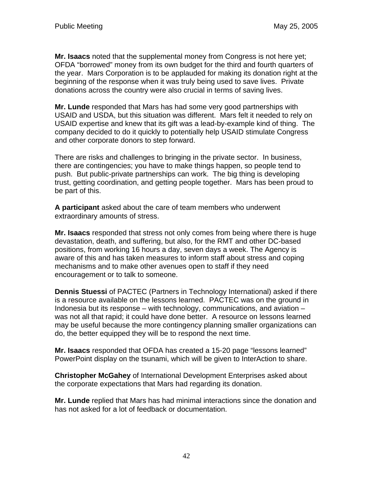**Mr. Isaacs** noted that the supplemental money from Congress is not here yet; OFDA "borrowed" money from its own budget for the third and fourth quarters of the year. Mars Corporation is to be applauded for making its donation right at the beginning of the response when it was truly being used to save lives. Private donations across the country were also crucial in terms of saving lives.

**Mr. Lunde** responded that Mars has had some very good partnerships with USAID and USDA, but this situation was different. Mars felt it needed to rely on USAID expertise and knew that its gift was a lead-by-example kind of thing. The company decided to do it quickly to potentially help USAID stimulate Congress and other corporate donors to step forward.

There are risks and challenges to bringing in the private sector. In business, there are contingencies; you have to make things happen, so people tend to push. But public-private partnerships can work. The big thing is developing trust, getting coordination, and getting people together. Mars has been proud to be part of this.

**A participant** asked about the care of team members who underwent extraordinary amounts of stress.

**Mr. Isaacs** responded that stress not only comes from being where there is huge devastation, death, and suffering, but also, for the RMT and other DC-based positions, from working 16 hours a day, seven days a week. The Agency is aware of this and has taken measures to inform staff about stress and coping mechanisms and to make other avenues open to staff if they need encouragement or to talk to someone.

**Dennis Stuessi** of PACTEC (Partners in Technology International) asked if there is a resource available on the lessons learned. PACTEC was on the ground in Indonesia but its response – with technology, communications, and aviation – was not all that rapid; it could have done better. A resource on lessons learned may be useful because the more contingency planning smaller organizations can do, the better equipped they will be to respond the next time.

**Mr. Isaacs** responded that OFDA has created a 15-20 page "lessons learned" PowerPoint display on the tsunami, which will be given to InterAction to share.

**Christopher McGahey** of International Development Enterprises asked about the corporate expectations that Mars had regarding its donation.

**Mr. Lunde** replied that Mars has had minimal interactions since the donation and has not asked for a lot of feedback or documentation.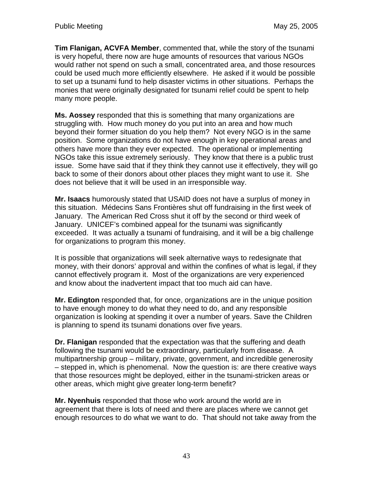**Tim Flanigan, ACVFA Member**, commented that, while the story of the tsunami is very hopeful, there now are huge amounts of resources that various NGOs would rather not spend on such a small, concentrated area, and those resources could be used much more efficiently elsewhere. He asked if it would be possible to set up a tsunami fund to help disaster victims in other situations. Perhaps the monies that were originally designated for tsunami relief could be spent to help many more people.

**Ms. Aossey** responded that this is something that many organizations are struggling with. How much money do you put into an area and how much beyond their former situation do you help them? Not every NGO is in the same position. Some organizations do not have enough in key operational areas and others have more than they ever expected. The operational or implementing NGOs take this issue extremely seriously. They know that there is a public trust issue. Some have said that if they think they cannot use it effectively, they will go back to some of their donors about other places they might want to use it. She does not believe that it will be used in an irresponsible way.

**Mr. Isaacs** humorously stated that USAID does not have a surplus of money in this situation. Médecins Sans Frontières shut off fundraising in the first week of January. The American Red Cross shut it off by the second or third week of January. UNICEF's combined appeal for the tsunami was significantly exceeded. It was actually a tsunami of fundraising, and it will be a big challenge for organizations to program this money.

It is possible that organizations will seek alternative ways to redesignate that money, with their donors' approval and within the confines of what is legal, if they cannot effectively program it. Most of the organizations are very experienced and know about the inadvertent impact that too much aid can have.

**Mr. Edington** responded that, for once, organizations are in the unique position to have enough money to do what they need to do, and any responsible organization is looking at spending it over a number of years. Save the Children is planning to spend its tsunami donations over five years.

**Dr. Flanigan** responded that the expectation was that the suffering and death following the tsunami would be extraordinary, particularly from disease. A multipartnership group – military, private, government, and incredible generosity – stepped in, which is phenomenal. Now the question is: are there creative ways that those resources might be deployed, either in the tsunami-stricken areas or other areas, which might give greater long-term benefit?

**Mr. Nyenhuis** responded that those who work around the world are in agreement that there is lots of need and there are places where we cannot get enough resources to do what we want to do. That should not take away from the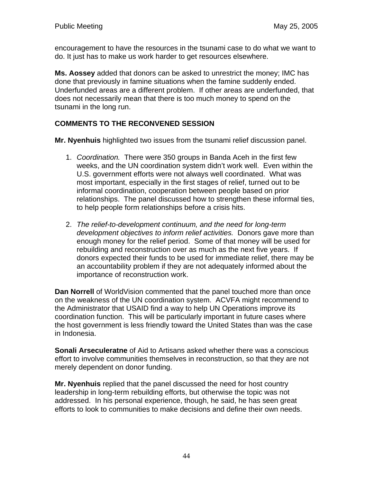encouragement to have the resources in the tsunami case to do what we want to do. It just has to make us work harder to get resources elsewhere.

**Ms. Aossey** added that donors can be asked to unrestrict the money; IMC has done that previously in famine situations when the famine suddenly ended. Underfunded areas are a different problem. If other areas are underfunded, that does not necessarily mean that there is too much money to spend on the tsunami in the long run.

# **COMMENTS TO THE RECONVENED SESSION**

**Mr. Nyenhuis** highlighted two issues from the tsunami relief discussion panel.

- 1. *Coordination.* There were 350 groups in Banda Aceh in the first few weeks, and the UN coordination system didn't work well. Even within the U.S. government efforts were not always well coordinated. What was most important, especially in the first stages of relief, turned out to be informal coordination, cooperation between people based on prior relationships. The panel discussed how to strengthen these informal ties, to help people form relationships before a crisis hits.
- 2. *The relief-to-development continuum, and the need for long-term development objectives to inform relief activities.* Donors gave more than enough money for the relief period. Some of that money will be used for rebuilding and reconstruction over as much as the next five years. If donors expected their funds to be used for immediate relief, there may be an accountability problem if they are not adequately informed about the importance of reconstruction work.

**Dan Norrell** of WorldVision commented that the panel touched more than once on the weakness of the UN coordination system. ACVFA might recommend to the Administrator that USAID find a way to help UN Operations improve its coordination function. This will be particularly important in future cases where the host government is less friendly toward the United States than was the case in Indonesia.

**Sonali Arseculeratne** of Aid to Artisans asked whether there was a conscious effort to involve communities themselves in reconstruction, so that they are not merely dependent on donor funding.

**Mr. Nyenhuis** replied that the panel discussed the need for host country leadership in long-term rebuilding efforts, but otherwise the topic was not addressed. In his personal experience, though, he said, he has seen great efforts to look to communities to make decisions and define their own needs.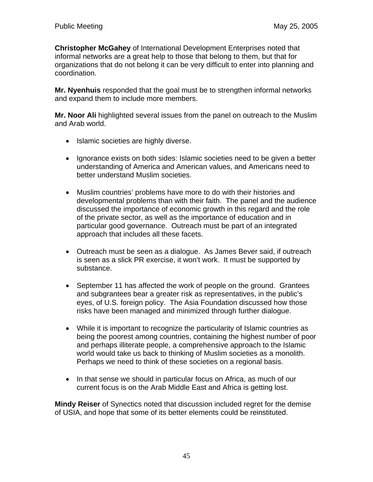**Christopher McGahey** of International Development Enterprises noted that informal networks are a great help to those that belong to them, but that for organizations that do not belong it can be very difficult to enter into planning and coordination.

**Mr. Nyenhuis** responded that the goal must be to strengthen informal networks and expand them to include more members.

**Mr. Noor Ali** highlighted several issues from the panel on outreach to the Muslim and Arab world.

- Islamic societies are highly diverse.
- Ignorance exists on both sides: Islamic societies need to be given a better understanding of America and American values, and Americans need to better understand Muslim societies.
- Muslim countries' problems have more to do with their histories and developmental problems than with their faith. The panel and the audience discussed the importance of economic growth in this regard and the role of the private sector, as well as the importance of education and in particular good governance. Outreach must be part of an integrated approach that includes all these facets.
- Outreach must be seen as a dialogue. As James Bever said, if outreach is seen as a slick PR exercise, it won't work. It must be supported by substance.
- September 11 has affected the work of people on the ground. Grantees and subgrantees bear a greater risk as representatives, in the public's eyes, of U.S. foreign policy. The Asia Foundation discussed how those risks have been managed and minimized through further dialogue.
- While it is important to recognize the particularity of Islamic countries as being the poorest among countries, containing the highest number of poor and perhaps illiterate people, a comprehensive approach to the Islamic world would take us back to thinking of Muslim societies as a monolith. Perhaps we need to think of these societies on a regional basis.
- In that sense we should in particular focus on Africa, as much of our current focus is on the Arab Middle East and Africa is getting lost.

**Mindy Reiser** of Synectics noted that discussion included regret for the demise of USIA, and hope that some of its better elements could be reinstituted.